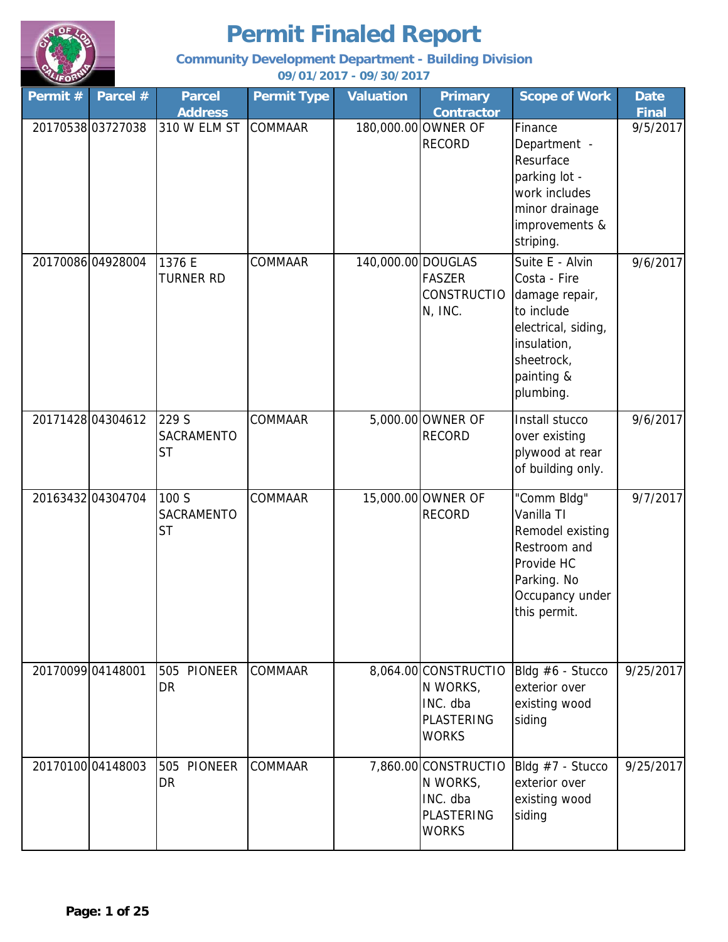

**Community Development Department - Building Division**

| Permit # | Parcel #          | <b>Parcel</b><br><b>Address</b>    | <b>Permit Type</b> | <b>Valuation</b>   | <b>Primary</b><br><b>Contractor</b>                                               | <b>Scope of Work</b>                                                                                                                           | <b>Date</b><br><b>Final</b> |
|----------|-------------------|------------------------------------|--------------------|--------------------|-----------------------------------------------------------------------------------|------------------------------------------------------------------------------------------------------------------------------------------------|-----------------------------|
|          | 20170538 03727038 | 310 W ELM ST                       | COMMAAR            |                    | 180,000.00 OWNER OF<br><b>RECORD</b>                                              | Finance<br>Department -<br>Resurface<br>parking lot -<br>work includes<br>minor drainage<br>improvements &<br>striping.                        | 9/5/2017                    |
|          | 20170086 04928004 | 1376 E<br><b>TURNER RD</b>         | <b>COMMAAR</b>     | 140,000.00 DOUGLAS | <b>FASZER</b><br>CONSTRUCTIO<br>N, INC.                                           | Suite E - Alvin<br>Costa - Fire<br>damage repair,<br>to include<br>electrical, siding,<br>insulation,<br>sheetrock,<br>painting &<br>plumbing. | 9/6/2017                    |
|          | 20171428 04304612 | 229 S<br>SACRAMENTO<br><b>ST</b>   | <b>COMMAAR</b>     |                    | 5,000.00 OWNER OF<br><b>RECORD</b>                                                | Install stucco<br>over existing<br>plywood at rear<br>of building only.                                                                        | 9/6/2017                    |
|          | 20163432 04304704 | 100 S<br>SACRAMENTO<br><b>ST</b>   | <b>COMMAAR</b>     |                    | 15,000.00 OWNER OF<br><b>RECORD</b>                                               | "Comm Bldg"<br>Vanilla TI<br>Remodel existing<br>Restroom and<br>Provide HC<br>Parking. No<br>Occupancy under<br>this permit.                  | 9/7/2017                    |
|          | 20170099 04148001 | 505<br><b>PIONEER</b><br><b>DR</b> | <b>COMMAAR</b>     |                    | 8,064.00 CONSTRUCTIO<br>N WORKS,<br>INC. dba<br><b>PLASTERING</b><br><b>WORKS</b> | Bldg #6 - Stucco<br>exterior over<br>existing wood<br>siding                                                                                   | 9/25/2017                   |
|          | 2017010004148003  | <b>PIONEER</b><br>505<br><b>DR</b> | <b>COMMAAR</b>     |                    | 7,860.00 CONSTRUCTIO<br>N WORKS,<br>INC. dba<br><b>PLASTERING</b><br><b>WORKS</b> | Bldg #7 - Stucco<br>exterior over<br>existing wood<br>siding                                                                                   | 9/25/2017                   |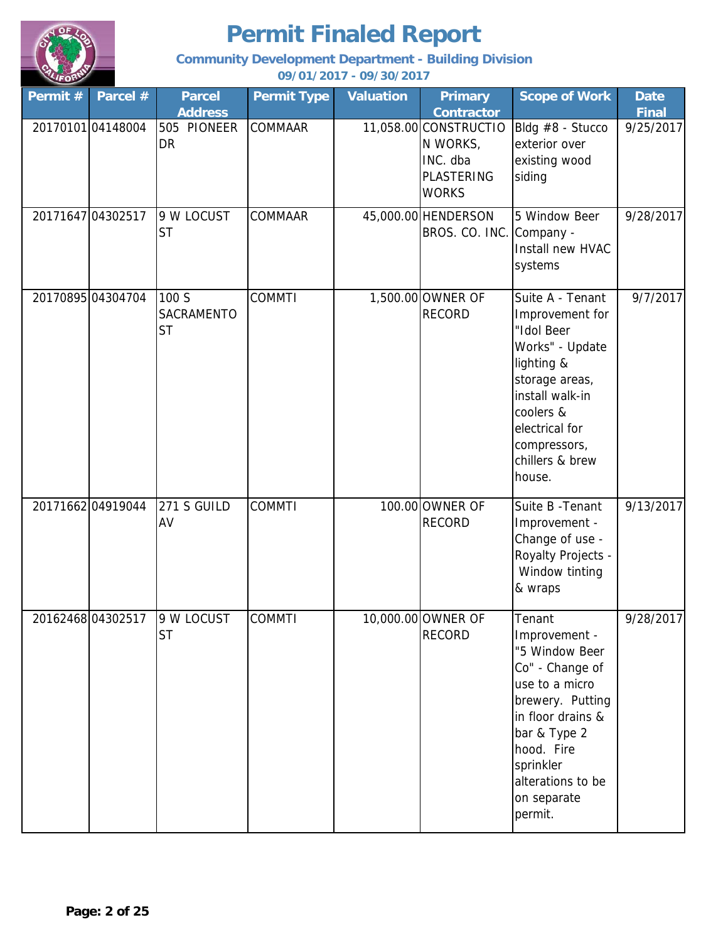

**Community Development Department - Building Division**

| Permit # | Parcel #          | <b>Parcel</b><br><b>Address</b>  | <b>Permit Type</b> | <b>Valuation</b> | <b>Primary</b><br><b>Contractor</b>                                                | <b>Scope of Work</b>                                                                                                                                                                                              | <b>Date</b><br><b>Final</b> |
|----------|-------------------|----------------------------------|--------------------|------------------|------------------------------------------------------------------------------------|-------------------------------------------------------------------------------------------------------------------------------------------------------------------------------------------------------------------|-----------------------------|
|          | 2017010104148004  | 505 PIONEER<br>DR                | <b>COMMAAR</b>     |                  | 11,058.00 CONSTRUCTIO<br>N WORKS,<br>INC. dba<br><b>PLASTERING</b><br><b>WORKS</b> | Bldg #8 - Stucco<br>exterior over<br>existing wood<br>siding                                                                                                                                                      | 9/25/2017                   |
|          | 20171647 04302517 | 9 W LOCUST<br><b>ST</b>          | <b>COMMAAR</b>     |                  | 45,000.00 HENDERSON<br>BROS. CO. INC. Company -                                    | 5 Window Beer<br>Install new HVAC<br>systems                                                                                                                                                                      | 9/28/2017                   |
|          | 20170895 04304704 | 100 S<br>SACRAMENTO<br><b>ST</b> | <b>COMMTI</b>      |                  | 1,500.00 OWNER OF<br><b>RECORD</b>                                                 | Suite A - Tenant<br>Improvement for<br>"Idol Beer<br>Works" - Update<br>lighting &<br>storage areas,<br>install walk-in<br>coolers &<br>electrical for<br>compressors,<br>chillers & brew<br>house.               | 9/7/2017                    |
|          | 2017166204919044  | 271 S GUILD<br>AV                | <b>COMMTI</b>      |                  | 100.00 OWNER OF<br><b>RECORD</b>                                                   | Suite B - Tenant<br>Improvement -<br>Change of use -<br>Royalty Projects -<br>Window tinting<br>& wraps                                                                                                           | 9/13/2017                   |
|          | 20162468 04302517 | 9 W LOCUST<br><b>ST</b>          | <b>COMMTI</b>      |                  | 10,000.00 OWNER OF<br><b>RECORD</b>                                                | Tenant<br>Improvement -<br>"5 Window Beer<br>Co" - Change of<br>use to a micro<br>brewery. Putting<br>in floor drains &<br>bar & Type 2<br>hood. Fire<br>sprinkler<br>alterations to be<br>on separate<br>permit. | 9/28/2017                   |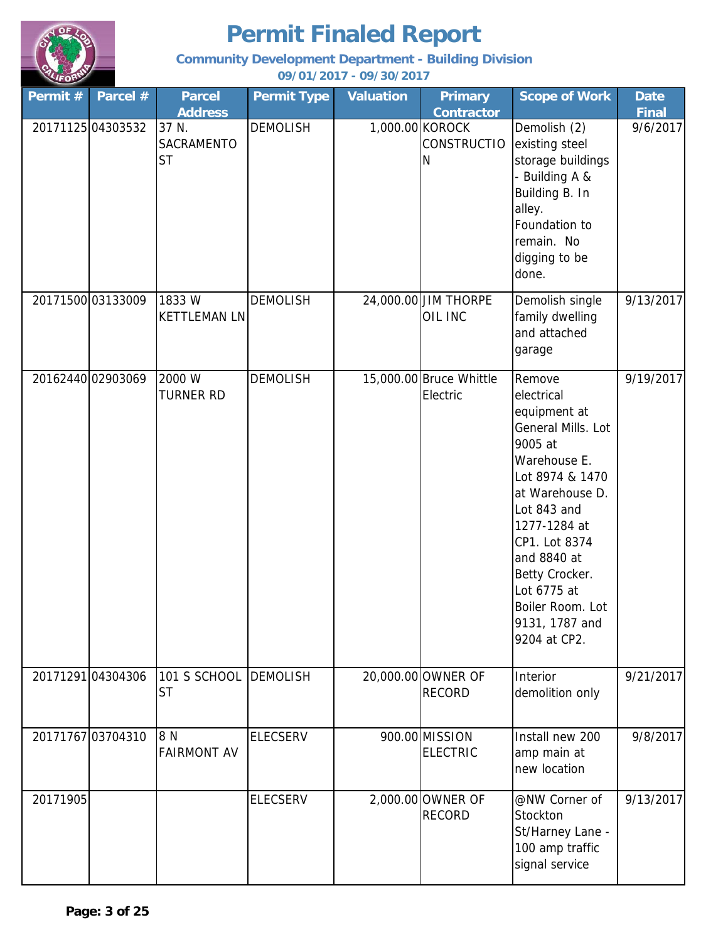

**Community Development Department - Building Division**

| Permit # | Parcel #          | <b>Parcel</b>                      | <b>Permit Type</b> | <b>Valuation</b> | <b>Primary</b>                             | <b>Scope of Work</b>                                                                                                                                                                                                                                                              | <b>Date</b>  |
|----------|-------------------|------------------------------------|--------------------|------------------|--------------------------------------------|-----------------------------------------------------------------------------------------------------------------------------------------------------------------------------------------------------------------------------------------------------------------------------------|--------------|
|          |                   | <b>Address</b>                     |                    |                  | <b>Contractor</b>                          |                                                                                                                                                                                                                                                                                   | <b>Final</b> |
|          | 20171125 04303532 | 37 N.<br>SACRAMENTO<br><b>ST</b>   | <b>DEMOLISH</b>    |                  | 1,000.00 KOROCK<br><b>CONSTRUCTIO</b><br>N | Demolish (2)<br>existing steel<br>storage buildings<br>- Building A &<br>Building B. In<br>alley.<br>Foundation to<br>remain. No<br>digging to be<br>done.                                                                                                                        | 9/6/2017     |
|          | 20171500 03133009 | 1833W<br><b>KETTLEMAN LN</b>       | <b>DEMOLISH</b>    |                  | 24,000.00 JIM THORPE<br>OIL INC            | Demolish single<br>family dwelling<br>and attached<br>garage                                                                                                                                                                                                                      | 9/13/2017    |
|          | 20162440 02903069 | 2000 W<br><b>TURNER RD</b>         | <b>DEMOLISH</b>    |                  | 15,000.00 Bruce Whittle<br>Electric        | Remove<br>electrical<br>equipment at<br>General Mills. Lot<br>9005 at<br>Warehouse E.<br>Lot 8974 & 1470<br>at Warehouse D.<br>Lot 843 and<br>1277-1284 at<br>CP1. Lot 8374<br>and 8840 at<br>Betty Crocker.<br>Lot 6775 at<br>Boiler Room. Lot<br>9131, 1787 and<br>9204 at CP2. | 9/19/2017    |
|          | 20171291 04304306 | 101 S SCHOOL DEMOLISH<br><b>ST</b> |                    |                  | 20,000.00 OWNER OF<br><b>RECORD</b>        | Interior<br>demolition only                                                                                                                                                                                                                                                       | 9/21/2017    |
|          | 20171767 03704310 | 8 N<br><b>FAIRMONT AV</b>          | <b>ELECSERV</b>    |                  | 900.00 MISSION<br><b>ELECTRIC</b>          | Install new 200<br>amp main at<br>new location                                                                                                                                                                                                                                    | 9/8/2017     |
| 20171905 |                   |                                    | <b>ELECSERV</b>    |                  | 2,000.00 OWNER OF<br><b>RECORD</b>         | @NW Corner of<br>Stockton<br>St/Harney Lane -<br>100 amp traffic<br>signal service                                                                                                                                                                                                | 9/13/2017    |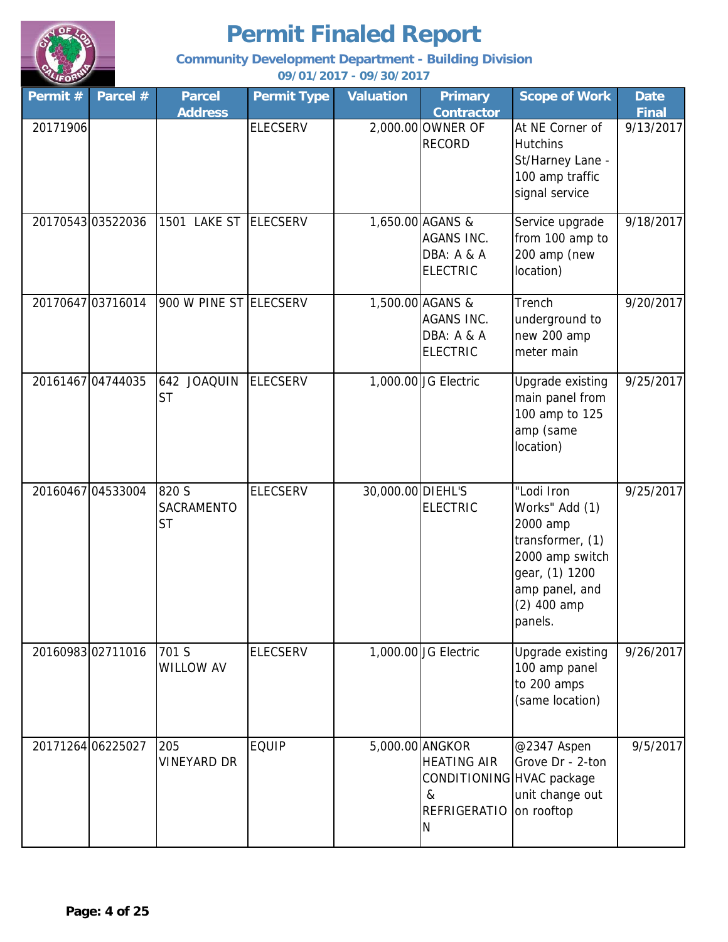

**Community Development Department - Building Division**

| Permit #          | Parcel #          | <b>Parcel</b><br><b>Address</b>  | <b>Permit Type</b> | <b>Valuation</b>  | <b>Primary</b><br><b>Contractor</b>                                                                 | <b>Scope of Work</b>                                                                                                                          | <b>Date</b><br><b>Final</b> |
|-------------------|-------------------|----------------------------------|--------------------|-------------------|-----------------------------------------------------------------------------------------------------|-----------------------------------------------------------------------------------------------------------------------------------------------|-----------------------------|
| 20171906          |                   |                                  | <b>ELECSERV</b>    |                   | 2,000.00 OWNER OF<br><b>RECORD</b>                                                                  | At NE Corner of<br><b>Hutchins</b><br>St/Harney Lane -<br>100 amp traffic<br>signal service                                                   | 9/13/2017                   |
| 20170543 03522036 |                   | 1501 LAKE ST ELECSERV            |                    |                   | 1,650.00 AGANS &<br>AGANS INC.<br>DBA: A & A<br><b>ELECTRIC</b>                                     | Service upgrade<br>from 100 amp to<br>200 amp (new<br>location)                                                                               | 9/18/2017                   |
|                   | 20170647 03716014 | 900 W PINE ST ELECSERV           |                    |                   | 1,500.00 AGANS &<br>AGANS INC.<br>DBA: A & A<br><b>ELECTRIC</b>                                     | Trench<br>underground to<br>new 200 amp<br>meter main                                                                                         | 9/20/2017                   |
| 20161467 04744035 |                   | 642 JOAQUIN<br><b>ST</b>         | <b>ELECSERV</b>    |                   | 1,000.00 JG Electric                                                                                | Upgrade existing<br>main panel from<br>100 amp to 125<br>amp (same<br>location)                                                               | 9/25/2017                   |
|                   | 20160467 04533004 | 820 S<br>SACRAMENTO<br><b>ST</b> | <b>ELECSERV</b>    | 30,000.00 DIEHL'S | <b>ELECTRIC</b>                                                                                     | "Lodi Iron<br>Works" Add (1)<br>2000 amp<br>transformer, (1)<br>2000 amp switch<br>gear, (1) 1200<br>amp panel, and<br>(2) 400 amp<br>panels. | 9/25/2017                   |
|                   | 2016098302711016  | 701 S<br><b>WILLOW AV</b>        | <b>ELECSERV</b>    |                   | 1,000.00 JG Electric                                                                                | Upgrade existing<br>100 amp panel<br>to 200 amps<br>(same location)                                                                           | 9/26/2017                   |
| 20171264 06225027 |                   | 205<br><b>VINEYARD DR</b>        | <b>EQUIP</b>       |                   | 5,000.00 ANGKOR<br><b>HEATING AIR</b><br>CONDITIONING HVAC package<br>&<br><b>REFRIGERATIO</b><br>N | @2347 Aspen<br>Grove Dr - 2-ton<br>unit change out<br>on rooftop                                                                              | 9/5/2017                    |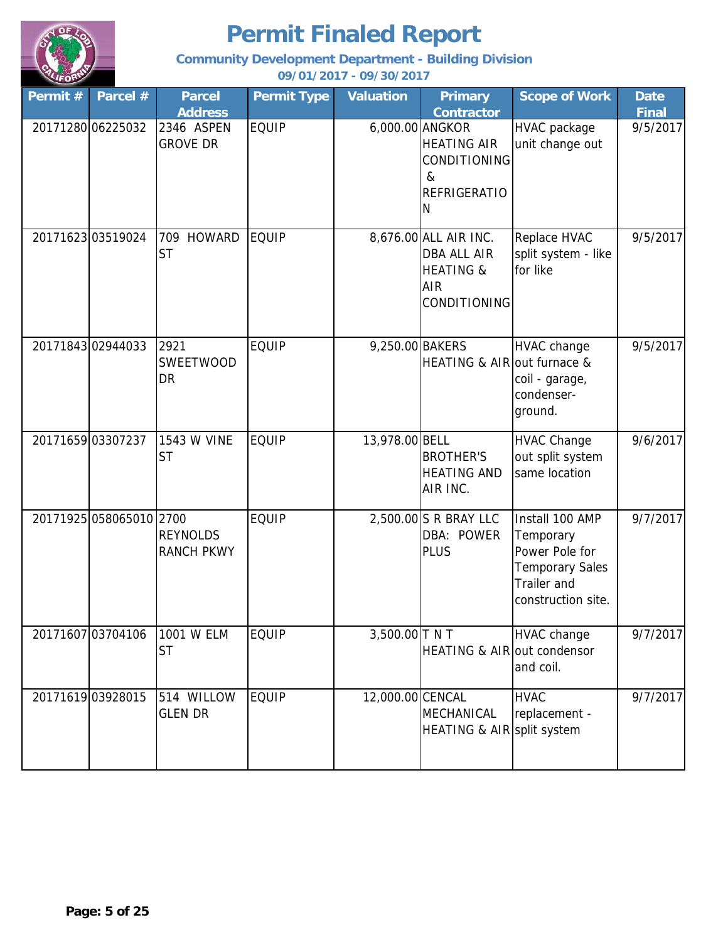

**Community Development Department - Building Division**

| Permit # | Parcel #                | <b>Parcel</b><br><b>Address</b>      | <b>Permit Type</b> | <b>Valuation</b> | <b>Primary</b><br><b>Contractor</b>                                                               | <b>Scope of Work</b>                                                                                          | <b>Date</b><br><b>Final</b> |
|----------|-------------------------|--------------------------------------|--------------------|------------------|---------------------------------------------------------------------------------------------------|---------------------------------------------------------------------------------------------------------------|-----------------------------|
|          | 20171280 06225032       | 2346 ASPEN<br><b>GROVE DR</b>        | <b>EQUIP</b>       |                  | 6,000.00 ANGKOR<br><b>HEATING AIR</b><br>CONDITIONING<br>&<br><b>REFRIGERATIO</b><br>N            | HVAC package<br>unit change out                                                                               | 9/5/2017                    |
|          | 2017162303519024        | 709<br><b>HOWARD</b><br><b>ST</b>    | <b>EQUIP</b>       |                  | 8,676.00 ALL AIR INC.<br><b>DBA ALL AIR</b><br><b>HEATING &amp;</b><br><b>AIR</b><br>CONDITIONING | Replace HVAC<br>split system - like<br>for like                                                               | 9/5/2017                    |
|          | 20171843 02944033       | 2921<br><b>SWEETWOOD</b><br>DR       | <b>EQUIP</b>       | 9,250.00 BAKERS  | HEATING & AIR out furnace &                                                                       | HVAC change<br>coil - garage,<br>condenser-<br>ground.                                                        | 9/5/2017                    |
|          | 2017165903307237        | 1543 W VINE<br><b>ST</b>             | <b>EQUIP</b>       | 13,978.00 BELL   | <b>BROTHER'S</b><br><b>HEATING AND</b><br>AIR INC.                                                | <b>HVAC Change</b><br>out split system<br>same location                                                       | 9/6/2017                    |
|          | 20171925 058065010 2700 | <b>REYNOLDS</b><br><b>RANCH PKWY</b> | <b>EQUIP</b>       |                  | 2,500.00 S R BRAY LLC<br>DBA: POWER<br><b>PLUS</b>                                                | Install 100 AMP<br>Temporary<br>Power Pole for<br><b>Temporary Sales</b><br>Trailer and<br>construction site. | 9/7/2017                    |
|          | 20171607 03704106       | 1001 W ELM<br><b>ST</b>              | <b>EQUIP</b>       | 3,500.00 TNT     | <b>HEATING &amp; AIR out condensor</b>                                                            | <b>HVAC change</b><br>and coil.                                                                               | 9/7/2017                    |
|          | 2017161903928015        | 514 WILLOW<br><b>GLEN DR</b>         | <b>EQUIP</b>       | 12,000.00 CENCAL | MECHANICAL<br>HEATING & AIR split system                                                          | <b>HVAC</b><br>replacement -                                                                                  | 9/7/2017                    |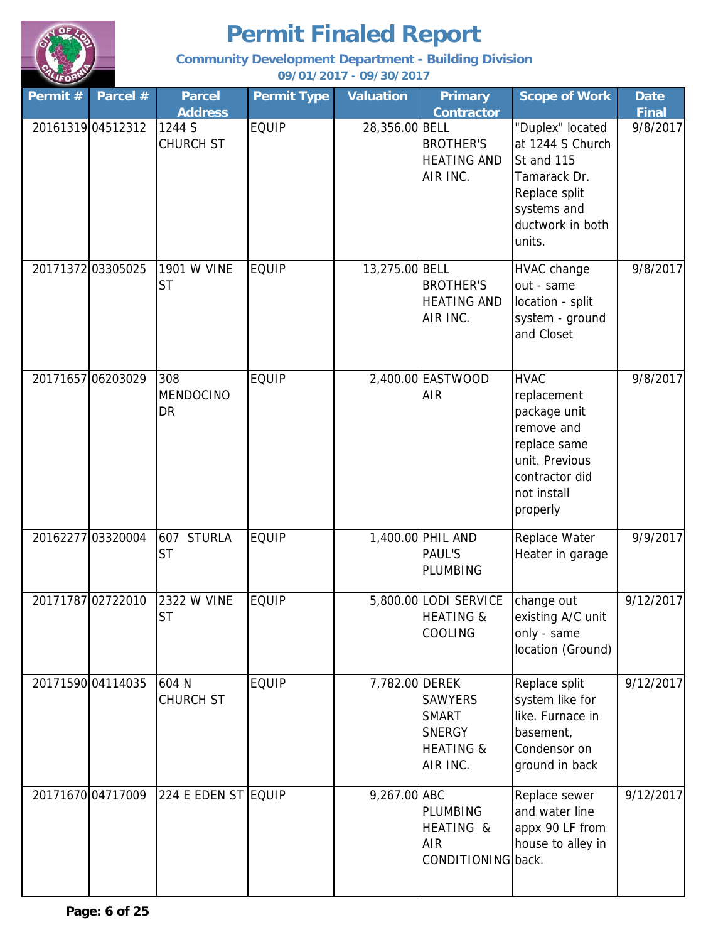

**Community Development Department - Building Division**

| Permit # | Parcel #          | <b>Parcel</b>                     | <b>Permit Type</b> | <b>Valuation</b> | <b>Primary</b>                                                                      | <b>Scope of Work</b>                                                                                                                    | <b>Date</b> |
|----------|-------------------|-----------------------------------|--------------------|------------------|-------------------------------------------------------------------------------------|-----------------------------------------------------------------------------------------------------------------------------------------|-------------|
|          |                   | <b>Address</b>                    |                    |                  | <b>Contractor</b>                                                                   |                                                                                                                                         | Final       |
|          | 2016131904512312  | 1244 S<br>CHURCH ST               | <b>EQUIP</b>       | 28,356.00 BELL   | <b>BROTHER'S</b><br><b>HEATING AND</b><br>AIR INC.                                  | "Duplex" located<br>at 1244 S Church<br>St and 115<br>Tamarack Dr.<br>Replace split<br>systems and<br>ductwork in both<br>units.        | 9/8/2017    |
|          | 20171372 03305025 | 1901 W VINE<br><b>ST</b>          | <b>EQUIP</b>       | 13,275.00 BELL   | <b>BROTHER'S</b><br><b>HEATING AND</b><br>AIR INC.                                  | HVAC change<br>out - same<br>location - split<br>system - ground<br>and Closet                                                          | 9/8/2017    |
|          | 20171657 06203029 | 308<br><b>MENDOCINO</b><br>DR     | <b>EQUIP</b>       |                  | 2,400.00 EASTWOOD<br><b>AIR</b>                                                     | <b>HVAC</b><br>replacement<br>package unit<br>remove and<br>replace same<br>unit. Previous<br>contractor did<br>not install<br>properly | 9/8/2017    |
|          | 20162277 03320004 | <b>STURLA</b><br>607<br><b>ST</b> | <b>EQUIP</b>       |                  | 1,400.00 PHIL AND<br><b>PAUL'S</b><br><b>PLUMBING</b>                               | Replace Water<br>Heater in garage                                                                                                       | 9/9/2017    |
|          | 20171787 02722010 | 2322 W VINE<br><b>ST</b>          | <b>EQUIP</b>       |                  | 5,800.00 LODI SERVICE<br><b>HEATING &amp;</b><br>COOLING                            | change out<br>existing A/C unit<br>only - same<br>location (Ground)                                                                     | 9/12/2017   |
|          | 20171590 04114035 | 604 N<br>CHURCH ST                | <b>EQUIP</b>       | 7,782.00 DEREK   | <b>SAWYERS</b><br><b>SMART</b><br><b>SNERGY</b><br><b>HEATING &amp;</b><br>AIR INC. | Replace split<br>system like for<br>like. Furnace in<br>basement,<br>Condensor on<br>ground in back                                     | 9/12/2017   |
|          | 20171670 04717009 | 224 E EDEN ST EQUIP               |                    | 9,267.00 ABC     | <b>PLUMBING</b><br>HEATING &<br>AIR<br>CONDITIONING back.                           | Replace sewer<br>and water line<br>appx 90 LF from<br>house to alley in                                                                 | 9/12/2017   |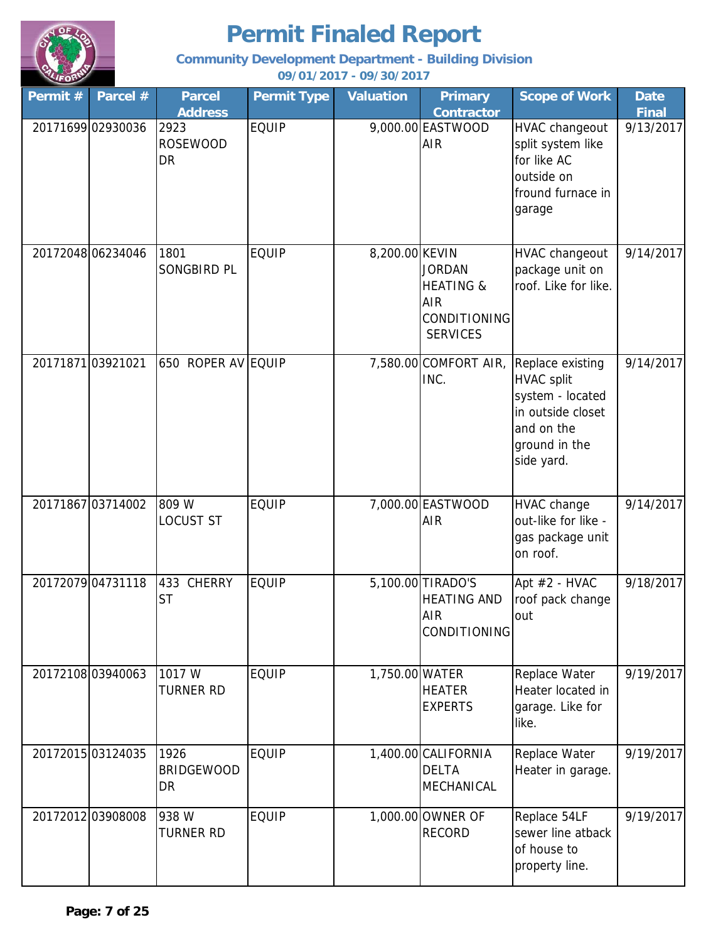

**Community Development Department - Building Division**

| Permit $#$ | Parcel #          | <b>Parcel</b><br><b>Address</b> | <b>Permit Type</b> | <b>Valuation</b> | <b>Primary</b><br><b>Contractor</b>                                                           | <b>Scope of Work</b>                                                                                                        | <b>Date</b><br><b>Final</b> |
|------------|-------------------|---------------------------------|--------------------|------------------|-----------------------------------------------------------------------------------------------|-----------------------------------------------------------------------------------------------------------------------------|-----------------------------|
|            | 20171699 02930036 | 2923<br><b>ROSEWOOD</b><br>DR   | <b>EQUIP</b>       |                  | 9,000.00 EASTWOOD<br><b>AIR</b>                                                               | HVAC changeout<br>split system like<br>for like AC<br>outside on<br>fround furnace in<br>garage                             | 9/13/2017                   |
|            | 20172048 06234046 | 1801<br>SONGBIRD PL             | <b>EQUIP</b>       | 8,200.00 KEVIN   | <b>JORDAN</b><br><b>HEATING &amp;</b><br><b>AIR</b><br><b>CONDITIONING</b><br><b>SERVICES</b> | <b>HVAC changeout</b><br>package unit on<br>roof. Like for like.                                                            | 9/14/2017                   |
|            | 2017187103921021  | 650 ROPER AV EQUIP              |                    |                  | 7,580.00 COMFORT AIR,<br>INC.                                                                 | Replace existing<br><b>HVAC split</b><br>system - located<br>in outside closet<br>and on the<br>ground in the<br>side yard. | 9/14/2017                   |
|            | 20171867 03714002 | 809 W<br><b>LOCUST ST</b>       | <b>EQUIP</b>       |                  | 7,000.00 EASTWOOD<br><b>AIR</b>                                                               | HVAC change<br>out-like for like -<br>gas package unit<br>on roof.                                                          | 9/14/2017                   |
|            | 20172079 04731118 | 433 CHERRY<br><b>ST</b>         | <b>EQUIP</b>       |                  | 5,100.00 TIRADO'S<br><b>HEATING AND</b><br><b>AIR</b><br>CONDITIONING                         | Apt #2 - HVAC<br>roof pack change<br>out                                                                                    | 9/18/2017                   |
|            | 2017210803940063  | 1017 W<br><b>TURNER RD</b>      | <b>EQUIP</b>       | 1,750.00 WATER   | <b>HEATER</b><br><b>EXPERTS</b>                                                               | Replace Water<br>Heater located in<br>garage. Like for<br>like.                                                             | 9/19/2017                   |
|            | 20172015 03124035 | 1926<br><b>BRIDGEWOOD</b><br>DR | <b>EQUIP</b>       |                  | 1,400.00 CALIFORNIA<br><b>DELTA</b><br>MECHANICAL                                             | Replace Water<br>Heater in garage.                                                                                          | 9/19/2017                   |
|            | 20172012 03908008 | 938 W<br><b>TURNER RD</b>       | <b>EQUIP</b>       |                  | 1,000.00 OWNER OF<br><b>RECORD</b>                                                            | Replace 54LF<br>sewer line atback<br>of house to<br>property line.                                                          | 9/19/2017                   |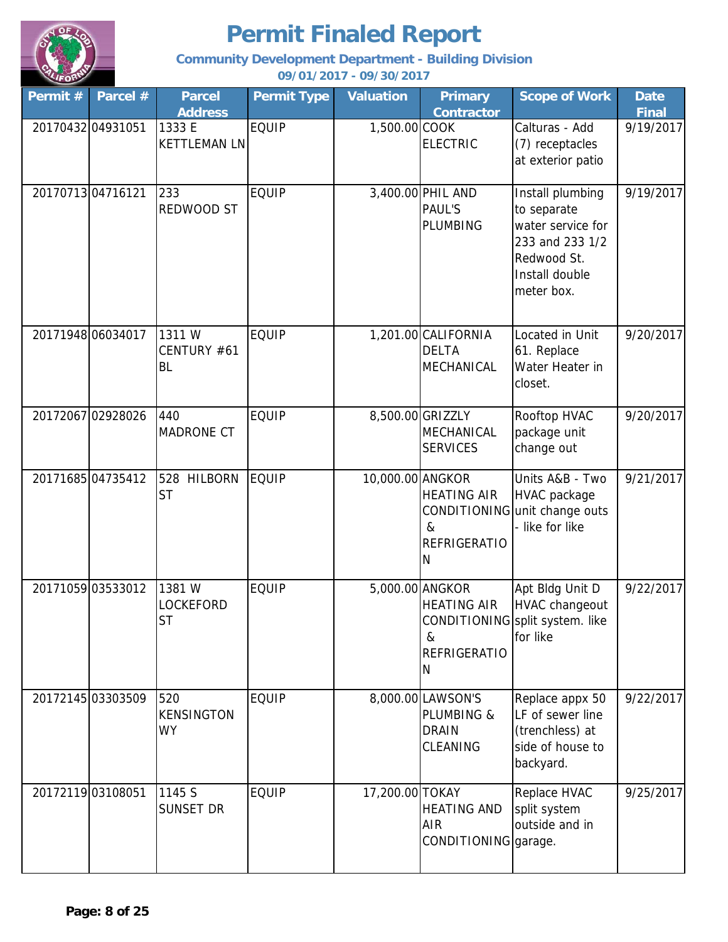

**Community Development Department - Building Division**

| Permit # | Parcel #          | <b>Parcel</b><br><b>Address</b>        | <b>Permit Type</b> | <b>Valuation</b> | <b>Primary</b><br><b>Contractor</b>                                               | <b>Scope of Work</b>                                                                                                   | <b>Date</b><br><b>Final</b> |
|----------|-------------------|----------------------------------------|--------------------|------------------|-----------------------------------------------------------------------------------|------------------------------------------------------------------------------------------------------------------------|-----------------------------|
|          | 20170432 04931051 | 1333 E<br><b>KETTLEMAN LN</b>          | <b>EQUIP</b>       | 1,500.00 COOK    | <b>ELECTRIC</b>                                                                   | Calturas - Add<br>(7) receptacles<br>at exterior patio                                                                 | 9/19/2017                   |
|          | 20170713 04716121 | 233<br>REDWOOD ST                      | <b>EQUIP</b>       |                  | 3,400.00 PHIL AND<br><b>PAUL'S</b><br><b>PLUMBING</b>                             | Install plumbing<br>to separate<br>water service for<br>233 and 233 1/2<br>Redwood St.<br>Install double<br>meter box. | 9/19/2017                   |
|          | 20171948 06034017 | 1311W<br>CENTURY #61<br><b>BL</b>      | <b>EQUIP</b>       |                  | 1,201.00 CALIFORNIA<br><b>DELTA</b><br>MECHANICAL                                 | Located in Unit<br>61. Replace<br>Water Heater in<br>closet.                                                           | 9/20/2017                   |
|          | 20172067 02928026 | 440<br><b>MADRONE CT</b>               | <b>EQUIP</b>       |                  | 8,500.00 GRIZZLY<br>MECHANICAL<br><b>SERVICES</b>                                 | Rooftop HVAC<br>package unit<br>change out                                                                             | 9/20/2017                   |
|          | 20171685 04735412 | 528 HILBORN<br><b>ST</b>               | <b>EQUIP</b>       | 10,000.00 ANGKOR | <b>HEATING AIR</b><br>$\&$<br><b>REFRIGERATIO</b><br>N                            | Units A&B - Two<br>HVAC package<br>CONDITIONING unit change outs<br>- like for like                                    | 9/21/2017                   |
|          | 20171059 03533012 | 1381W<br><b>LOCKEFORD</b><br><b>ST</b> | <b>EQUIP</b>       |                  | 5,000.00 ANGKOR<br><b>HEATING AIR</b><br>&<br><b>REFRIGERATIO</b><br>$\mathsf{N}$ | Apt Bldg Unit D<br><b>HVAC changeout</b><br>CONDITIONING split system. like<br>for like                                | 9/22/2017                   |
|          | 20172145 03303509 | 520<br><b>KENSINGTON</b><br><b>WY</b>  | <b>EQUIP</b>       |                  | 8,000.00 LAWSON'S<br><b>PLUMBING &amp;</b><br><b>DRAIN</b><br>CLEANING            | Replace appx 50<br>LF of sewer line<br>(trenchless) at<br>side of house to<br>backyard.                                | 9/22/2017                   |
|          | 20172119 03108051 | 1145 S<br>SUNSET DR                    | <b>EQUIP</b>       | 17,200.00 TOKAY  | <b>HEATING AND</b><br><b>AIR</b><br>CONDITIONING garage.                          | Replace HVAC<br>split system<br>outside and in                                                                         | 9/25/2017                   |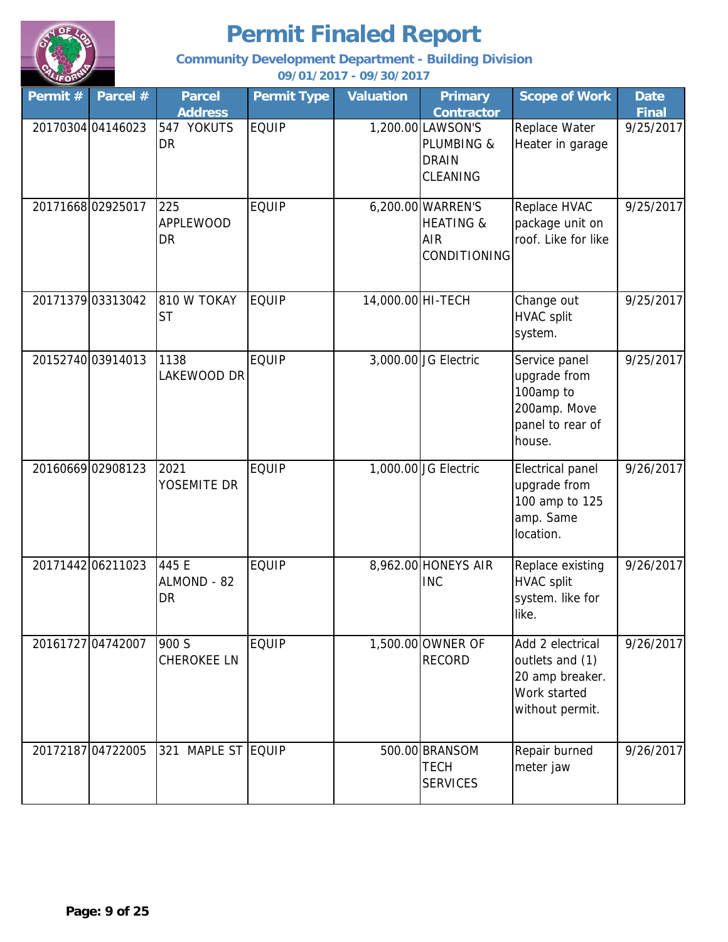

**Community Development Department - Building Division**

| Permit # | Parcel #          | <b>Parcel</b><br><b>Address</b> | <b>Permit Type</b> | <b>Valuation</b>  | <b>Primary</b><br>Contractor                                            | <b>Scope of Work</b>                                                                      | <b>Date</b><br><b>Final</b> |
|----------|-------------------|---------------------------------|--------------------|-------------------|-------------------------------------------------------------------------|-------------------------------------------------------------------------------------------|-----------------------------|
|          | 20170304 04146023 | 547 YOKUTS<br>DR                | <b>EQUIP</b>       |                   | 1,200.00 LAWSON'S<br><b>PLUMBING &amp;</b><br><b>DRAIN</b><br>CLEANING  | Replace Water<br>Heater in garage                                                         | 9/25/2017                   |
|          | 2017166802925017  | 225<br><b>APPLEWOOD</b><br>DR   | <b>EQUIP</b>       |                   | 6,200.00 WARREN'S<br><b>HEATING &amp;</b><br><b>AIR</b><br>CONDITIONING | Replace HVAC<br>package unit on<br>roof. Like for like                                    | 9/25/2017                   |
|          | 20171379 03313042 | 810 W TOKAY<br><b>ST</b>        | <b>EQUIP</b>       | 14,000.00 HI-TECH |                                                                         | Change out<br><b>HVAC split</b><br>system.                                                | 9/25/2017                   |
|          | 20152740 03914013 | 1138<br>LAKEWOOD DR             | <b>EQUIP</b>       |                   | 3,000.00 JG Electric                                                    | Service panel<br>upgrade from<br>100amp to<br>200amp. Move<br>panel to rear of<br>house.  | 9/25/2017                   |
|          | 20160669 02908123 | 2021<br>YOSEMITE DR             | <b>EQUIP</b>       |                   | 1,000.00 JG Electric                                                    | Electrical panel<br>upgrade from<br>100 amp to 125<br>amp. Same<br>location.              | 9/26/2017                   |
|          | 20171442 06211023 | 445 E<br>ALMOND - 82<br>DR      | <b>EQUIP</b>       |                   | 8,962.00 HONEYS AIR<br><b>INC</b>                                       | Replace existing<br><b>HVAC split</b><br>system. like for<br>like.                        | 9/26/2017                   |
|          | 20161727 04742007 | 900 S<br><b>CHEROKEE LN</b>     | <b>EQUIP</b>       |                   | 1,500.00 OWNER OF<br><b>RECORD</b>                                      | Add 2 electrical<br>outlets and (1)<br>20 amp breaker.<br>Work started<br>without permit. | 9/26/2017                   |
|          | 20172187 04722005 | MAPLE ST EQUIP<br>321           |                    |                   | 500.00 BRANSOM<br><b>TECH</b><br><b>SERVICES</b>                        | Repair burned<br>meter jaw                                                                | 9/26/2017                   |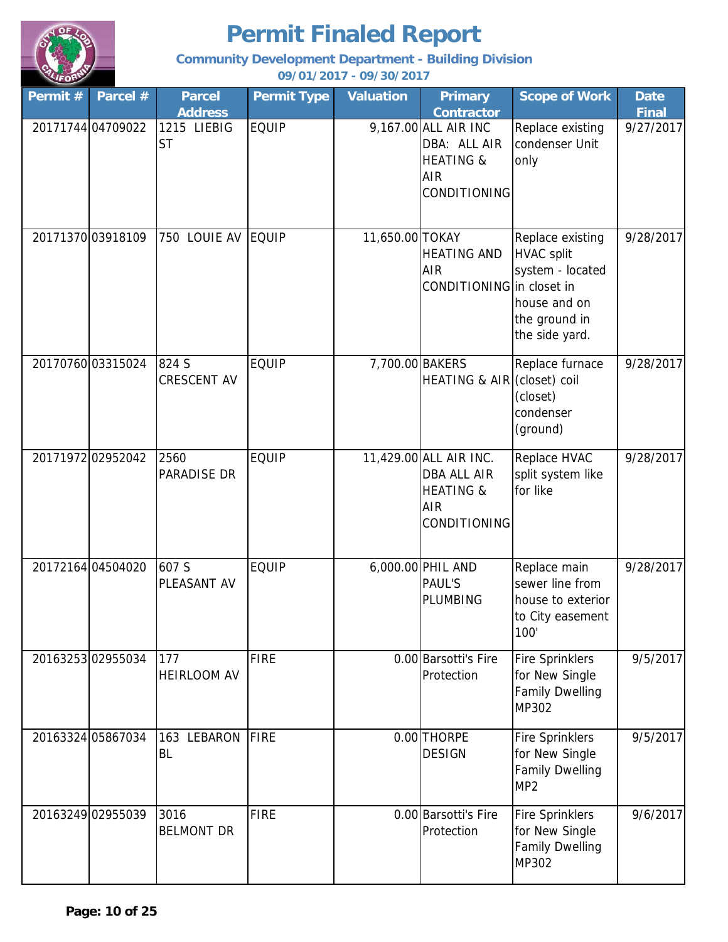

**Community Development Department - Building Division**

| Permit # | Parcel #          | <b>Parcel</b>                              | <b>Permit Type</b> | <b>Valuation</b> | <b>Primary</b>                                                                                                  | <b>Scope of Work</b>                                                                                         | <b>Date</b>               |
|----------|-------------------|--------------------------------------------|--------------------|------------------|-----------------------------------------------------------------------------------------------------------------|--------------------------------------------------------------------------------------------------------------|---------------------------|
|          | 20171744 04709022 | <b>Address</b><br>1215 LIEBIG<br><b>ST</b> | <b>EQUIP</b>       |                  | <b>Contractor</b><br>9,167.00 ALL AIR INC<br>DBA: ALL AIR<br><b>HEATING &amp;</b><br><b>AIR</b><br>CONDITIONING | Replace existing<br>condenser Unit<br>only                                                                   | <b>Final</b><br>9/27/2017 |
|          | 20171370 03918109 | 750 LOUIE AV                               | <b>EQUIP</b>       | 11,650.00 TOKAY  | <b>HEATING AND</b><br><b>AIR</b><br>CONDITIONING in closet in                                                   | Replace existing<br><b>HVAC split</b><br>system - located<br>house and on<br>the ground in<br>the side yard. | 9/28/2017                 |
|          | 20170760 03315024 | 824 S<br>CRESCENT AV                       | <b>EQUIP</b>       | 7,700.00 BAKERS  | HEATING & AIR (closet) coil                                                                                     | Replace furnace<br>(closet)<br>condenser<br>(ground)                                                         | 9/28/2017                 |
|          | 20171972 02952042 | 2560<br>PARADISE DR                        | <b>EQUIP</b>       |                  | 11,429.00 ALL AIR INC.<br><b>DBA ALL AIR</b><br><b>HEATING &amp;</b><br><b>AIR</b><br>CONDITIONING              | Replace HVAC<br>split system like<br>for like                                                                | 9/28/2017                 |
|          | 20172164 04504020 | 607 S<br>PLEASANT AV                       | <b>EQUIP</b>       |                  | 6,000.00 PHIL AND<br><b>PAUL'S</b><br><b>PLUMBING</b>                                                           | Replace main<br>sewer line from<br>house to exterior<br>to City easement<br>100'                             | 9/28/2017                 |
|          | 20163253 02955034 | 177<br><b>HEIRLOOM AV</b>                  | <b>FIRE</b>        |                  | 0.00 Barsotti's Fire<br>Protection                                                                              | <b>Fire Sprinklers</b><br>for New Single<br><b>Family Dwelling</b><br>MP302                                  | 9/5/2017                  |
|          | 20163324 05867034 | LEBARON<br>163<br><b>BL</b>                | <b>FIRE</b>        |                  | 0.00 THORPE<br><b>DESIGN</b>                                                                                    | <b>Fire Sprinklers</b><br>for New Single<br><b>Family Dwelling</b><br>MP <sub>2</sub>                        | 9/5/2017                  |
|          | 20163249 02955039 | 3016<br><b>BELMONT DR</b>                  | <b>FIRE</b>        |                  | 0.00 Barsotti's Fire<br>Protection                                                                              | <b>Fire Sprinklers</b><br>for New Single<br><b>Family Dwelling</b><br>MP302                                  | 9/6/2017                  |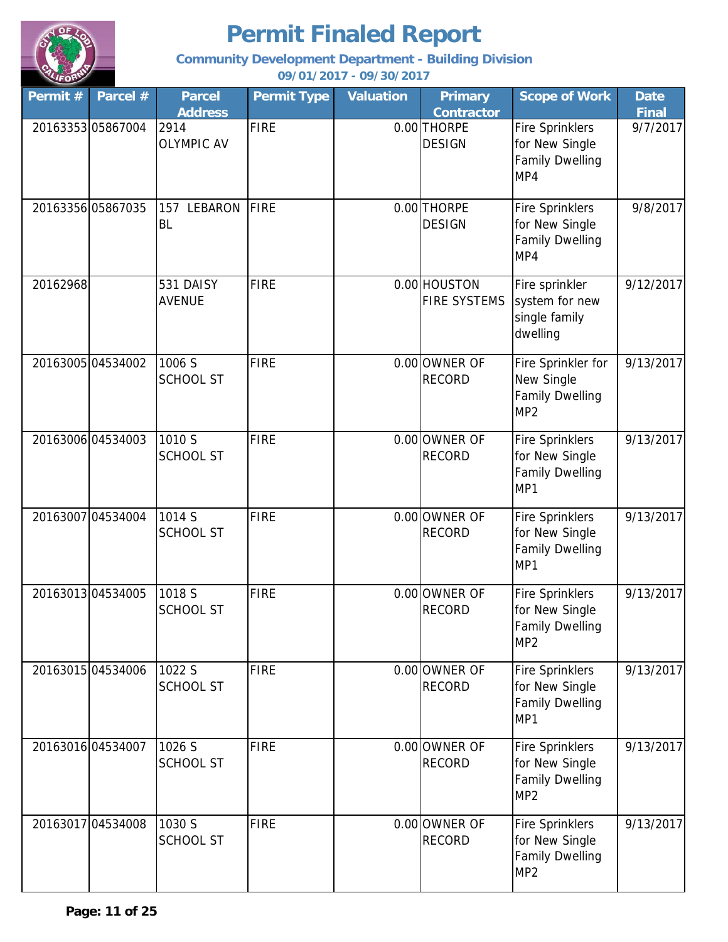

**Community Development Department - Building Division**

| Permit # | Parcel #          | <b>Parcel</b><br><b>Address</b> | <b>Permit Type</b> | <b>Valuation</b> | <b>Primary</b><br><b>Contractor</b> | <b>Scope of Work</b>                                                                  | <b>Date</b><br><b>Final</b> |
|----------|-------------------|---------------------------------|--------------------|------------------|-------------------------------------|---------------------------------------------------------------------------------------|-----------------------------|
|          | 2016335305867004  | 2914<br><b>OLYMPIC AV</b>       | <b>FIRE</b>        |                  | 0.00 THORPE<br><b>DESIGN</b>        | Fire Sprinklers<br>for New Single<br><b>Family Dwelling</b><br>MP4                    | 9/7/2017                    |
|          | 20163356 05867035 | LEBARON<br>157<br><b>BL</b>     | FIRE               |                  | 0.00 THORPE<br><b>DESIGN</b>        | Fire Sprinklers<br>for New Single<br><b>Family Dwelling</b><br>MP4                    | 9/8/2017                    |
| 20162968 |                   | 531 DAISY<br><b>AVENUE</b>      | <b>FIRE</b>        |                  | 0.00 HOUSTON<br><b>FIRE SYSTEMS</b> | Fire sprinkler<br>system for new<br>single family<br>dwelling                         | 9/12/2017                   |
|          | 20163005 04534002 | 1006 S<br><b>SCHOOL ST</b>      | <b>FIRE</b>        |                  | 0.00 OWNER OF<br><b>RECORD</b>      | Fire Sprinkler for<br>New Single<br><b>Family Dwelling</b><br>MP <sub>2</sub>         | 9/13/2017                   |
|          | 20163006 04534003 | 1010 S<br><b>SCHOOL ST</b>      | <b>FIRE</b>        |                  | 0.00 OWNER OF<br><b>RECORD</b>      | <b>Fire Sprinklers</b><br>for New Single<br><b>Family Dwelling</b><br>MP1             | 9/13/2017                   |
| 20163007 | 04534004          | 1014 S<br><b>SCHOOL ST</b>      | <b>FIRE</b>        |                  | 0.00 OWNER OF<br><b>RECORD</b>      | <b>Fire Sprinklers</b><br>for New Single<br><b>Family Dwelling</b><br>MP1             | 9/13/2017                   |
|          | 2016301304534005  | 1018 S<br><b>SCHOOL ST</b>      | <b>FIRE</b>        |                  | 0.00 OWNER OF<br><b>RECORD</b>      | <b>Fire Sprinklers</b><br>for New Single<br><b>Family Dwelling</b><br>MP <sub>2</sub> | 9/13/2017                   |
|          | 20163015 04534006 | 1022 S<br><b>SCHOOL ST</b>      | <b>FIRE</b>        |                  | 0.00 OWNER OF<br><b>RECORD</b>      | <b>Fire Sprinklers</b><br>for New Single<br><b>Family Dwelling</b><br>MP1             | 9/13/2017                   |
|          | 2016301604534007  | 1026 S<br><b>SCHOOL ST</b>      | <b>FIRE</b>        |                  | 0.00 OWNER OF<br><b>RECORD</b>      | <b>Fire Sprinklers</b><br>for New Single<br><b>Family Dwelling</b><br>MP <sub>2</sub> | 9/13/2017                   |
|          | 20163017 04534008 | 1030 S<br><b>SCHOOL ST</b>      | <b>FIRE</b>        |                  | 0.00 OWNER OF<br><b>RECORD</b>      | Fire Sprinklers<br>for New Single<br><b>Family Dwelling</b><br>MP <sub>2</sub>        | 9/13/2017                   |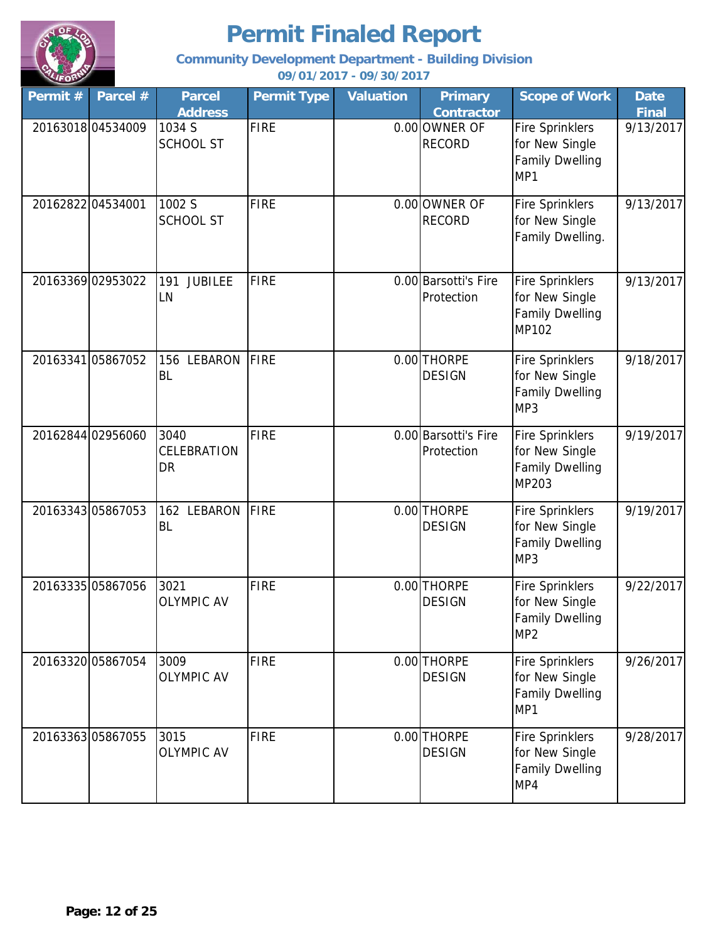

**Community Development Department - Building Division**

| Permit $#$ | Parcel #          | <b>Parcel</b><br><b>Address</b>    | <b>Permit Type</b> | <b>Valuation</b> | <b>Primary</b><br><b>Contractor</b> | <b>Scope of Work</b>                                                                  | <b>Date</b><br><b>Final</b> |
|------------|-------------------|------------------------------------|--------------------|------------------|-------------------------------------|---------------------------------------------------------------------------------------|-----------------------------|
|            | 2016301804534009  | 1034 S<br><b>SCHOOL ST</b>         | <b>FIRE</b>        |                  | 0.00 OWNER OF<br><b>RECORD</b>      | <b>Fire Sprinklers</b><br>for New Single<br><b>Family Dwelling</b><br>MP1             | 9/13/2017                   |
|            | 20162822 04534001 | 1002 S<br><b>SCHOOL ST</b>         | <b>FIRE</b>        |                  | 0.00 OWNER OF<br><b>RECORD</b>      | <b>Fire Sprinklers</b><br>for New Single<br>Family Dwelling.                          | 9/13/2017                   |
|            | 20163369 02953022 | <b>JUBILEE</b><br>191<br>LN        | <b>FIRE</b>        |                  | 0.00 Barsotti's Fire<br>Protection  | <b>Fire Sprinklers</b><br>for New Single<br><b>Family Dwelling</b><br>MP102           | 9/13/2017                   |
|            | 20163341 05867052 | <b>LEBARON</b><br>156<br><b>BL</b> | <b>FIRE</b>        |                  | 0.00 THORPE<br><b>DESIGN</b>        | <b>Fire Sprinklers</b><br>for New Single<br><b>Family Dwelling</b><br>MP3             | 9/18/2017                   |
|            | 20162844 02956060 | 3040<br>CELEBRATION<br>DR          | <b>FIRE</b>        |                  | 0.00 Barsotti's Fire<br>Protection  | <b>Fire Sprinklers</b><br>for New Single<br><b>Family Dwelling</b><br>MP203           | 9/19/2017                   |
|            | 20163343 05867053 | 162 LEBARON<br><b>BL</b>           | <b>FIRE</b>        |                  | 0.00 THORPE<br><b>DESIGN</b>        | <b>Fire Sprinklers</b><br>for New Single<br><b>Family Dwelling</b><br>MP3             | 9/19/2017                   |
|            | 20163335 05867056 | 3021<br><b>OLYMPIC AV</b>          | <b>FIRE</b>        |                  | 0.00 THORPE<br><b>DESIGN</b>        | <b>Fire Sprinklers</b><br>for New Single<br><b>Family Dwelling</b><br>MP <sub>2</sub> | 9/22/2017                   |
|            | 20163320 05867054 | 3009<br><b>OLYMPIC AV</b>          | <b>FIRE</b>        |                  | 0.00 THORPE<br><b>DESIGN</b>        | <b>Fire Sprinklers</b><br>for New Single<br><b>Family Dwelling</b><br>MP1             | 9/26/2017                   |
|            | 2016336305867055  | 3015<br><b>OLYMPIC AV</b>          | <b>FIRE</b>        |                  | 0.00 THORPE<br><b>DESIGN</b>        | <b>Fire Sprinklers</b><br>for New Single<br><b>Family Dwelling</b><br>MP4             | 9/28/2017                   |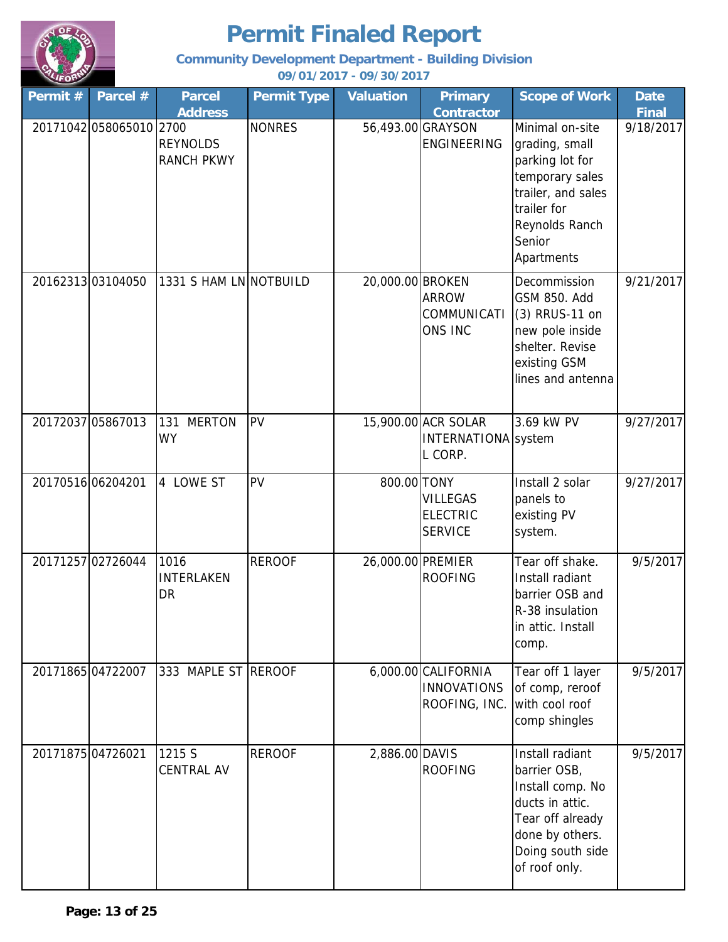

**Community Development Department - Building Division**

| Permit # | Parcel #                | <b>Parcel</b><br><b>Address</b>        | <b>Permit Type</b> | <b>Valuation</b>  | <b>Primary</b><br><b>Contractor</b>                        | <b>Scope of Work</b>                                                                                                                                   | <b>Date</b><br><b>Final</b> |
|----------|-------------------------|----------------------------------------|--------------------|-------------------|------------------------------------------------------------|--------------------------------------------------------------------------------------------------------------------------------------------------------|-----------------------------|
|          | 20171042 058065010 2700 | <b>REYNOLDS</b><br><b>RANCH PKWY</b>   | <b>NONRES</b>      |                   | 56,493.00 GRAYSON<br><b>ENGINEERING</b>                    | Minimal on-site<br>grading, small<br>parking lot for<br>temporary sales<br>trailer, and sales<br>trailer for<br>Reynolds Ranch<br>Senior<br>Apartments | 9/18/2017                   |
|          | 2016231303104050        | 1331 S HAM LN NOTBUILD                 |                    | 20,000.00 BROKEN  | <b>ARROW</b><br>COMMUNICATI<br>ONS INC                     | Decommission<br>GSM 850. Add<br>(3) RRUS-11 on<br>new pole inside<br>shelter. Revise<br>existing GSM<br>lines and antenna                              | 9/21/2017                   |
|          | 20172037 05867013       | <b>MERTON</b><br>131<br><b>WY</b>      | PV                 |                   | 15,900.00 ACR SOLAR<br>INTERNATIONA system<br>L CORP.      | 3.69 kW PV                                                                                                                                             | 9/27/2017                   |
|          | 20170516 06204201       | 4 LOWE ST                              | <b>PV</b>          | 800.00 TONY       | <b>VILLEGAS</b><br><b>ELECTRIC</b><br><b>SERVICE</b>       | Install 2 solar<br>panels to<br>existing PV<br>system.                                                                                                 | 9/27/2017                   |
|          | 20171257 02726044       | 1016<br><b>INTERLAKEN</b><br><b>DR</b> | <b>REROOF</b>      | 26,000.00 PREMIER | <b>ROOFING</b>                                             | Tear off shake.<br>Install radiant<br>barrier OSB and<br>R-38 insulation<br>in attic. Install<br>comp.                                                 | 9/5/2017                    |
|          | 2017186504722007        | 333 MAPLE ST REROOF                    |                    |                   | 6,000.00 CALIFORNIA<br><b>INNOVATIONS</b><br>ROOFING, INC. | Tear off 1 layer<br>of comp, reroof<br>with cool roof<br>comp shingles                                                                                 | 9/5/2017                    |
|          | 20171875 04726021       | 1215 S<br><b>CENTRAL AV</b>            | <b>REROOF</b>      | 2,886.00 DAVIS    | <b>ROOFING</b>                                             | Install radiant<br>barrier OSB,<br>Install comp. No<br>ducts in attic.<br>Tear off already<br>done by others.<br>Doing south side<br>of roof only.     | 9/5/2017                    |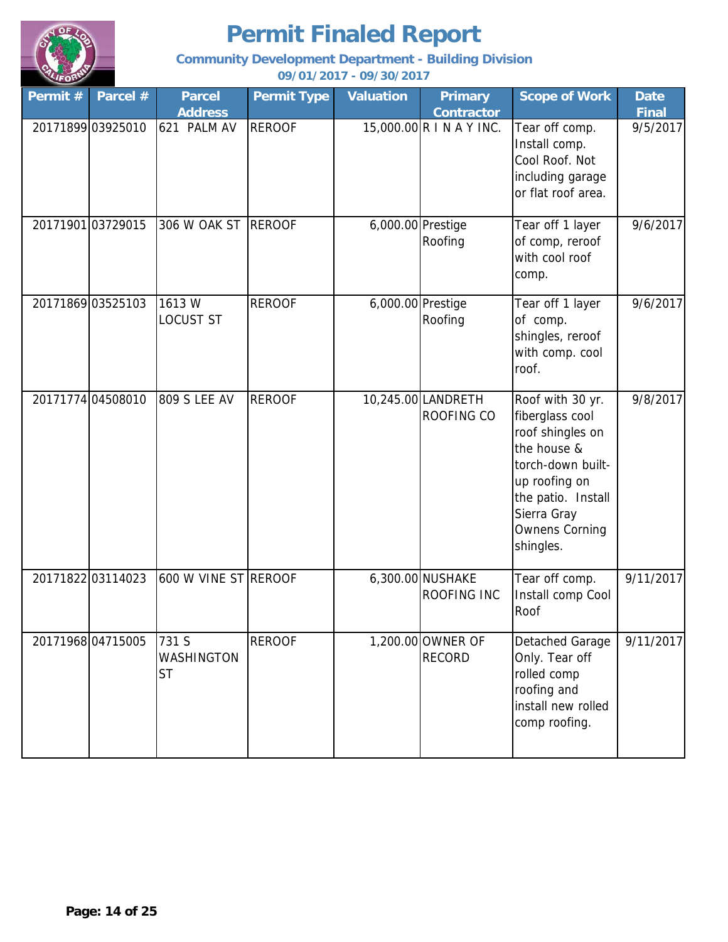

**Community Development Department - Building Division**

| Permit #          | Parcel #          | <b>Parcel</b><br><b>Address</b>  | <b>Permit Type</b> | <b>Valuation</b>  | <b>Primary</b><br><b>Contractor</b>    | <b>Scope of Work</b>                                                                                                                                                                    | <b>Date</b><br><b>Final</b> |
|-------------------|-------------------|----------------------------------|--------------------|-------------------|----------------------------------------|-----------------------------------------------------------------------------------------------------------------------------------------------------------------------------------------|-----------------------------|
|                   | 20171899 03925010 | 621 PALM AV                      | <b>REROOF</b>      |                   | 15,000.00 R I N A Y INC.               | Tear off comp.<br>Install comp.<br>Cool Roof. Not<br>including garage<br>or flat roof area.                                                                                             | 9/5/2017                    |
| 20171901 03729015 |                   | 306 W OAK ST                     | <b>REROOF</b>      | 6,000.00 Prestige | Roofing                                | Tear off 1 layer<br>of comp, reroof<br>with cool roof<br>comp.                                                                                                                          | 9/6/2017                    |
| 20171869 03525103 |                   | 1613W<br>LOCUST ST               | <b>REROOF</b>      | 6,000.00 Prestige | Roofing                                | Tear off 1 layer<br>of comp.<br>shingles, reroof<br>with comp. cool<br>roof.                                                                                                            | 9/6/2017                    |
| 20171774 04508010 |                   | <b>809 S LEE AV</b>              | <b>REROOF</b>      |                   | 10,245.00 LANDRETH<br>ROOFING CO       | Roof with 30 yr.<br>fiberglass cool<br>roof shingles on<br>the house &<br>torch-down built-<br>up roofing on<br>the patio. Install<br>Sierra Gray<br><b>Ownens Corning</b><br>shingles. | 9/8/2017                    |
| 20171822 03114023 |                   | 600 W VINE ST REROOF             |                    |                   | 6,300.00 NUSHAKE<br><b>ROOFING INC</b> | Tear off comp.<br>Install comp Cool<br>Roof                                                                                                                                             | 9/11/2017                   |
| 20171968 04715005 |                   | 731 S<br>WASHINGTON<br><b>ST</b> | <b>REROOF</b>      |                   | 1,200.00 OWNER OF<br><b>RECORD</b>     | Detached Garage<br>Only. Tear off<br>rolled comp<br>roofing and<br>install new rolled<br>comp roofing.                                                                                  | 9/11/2017                   |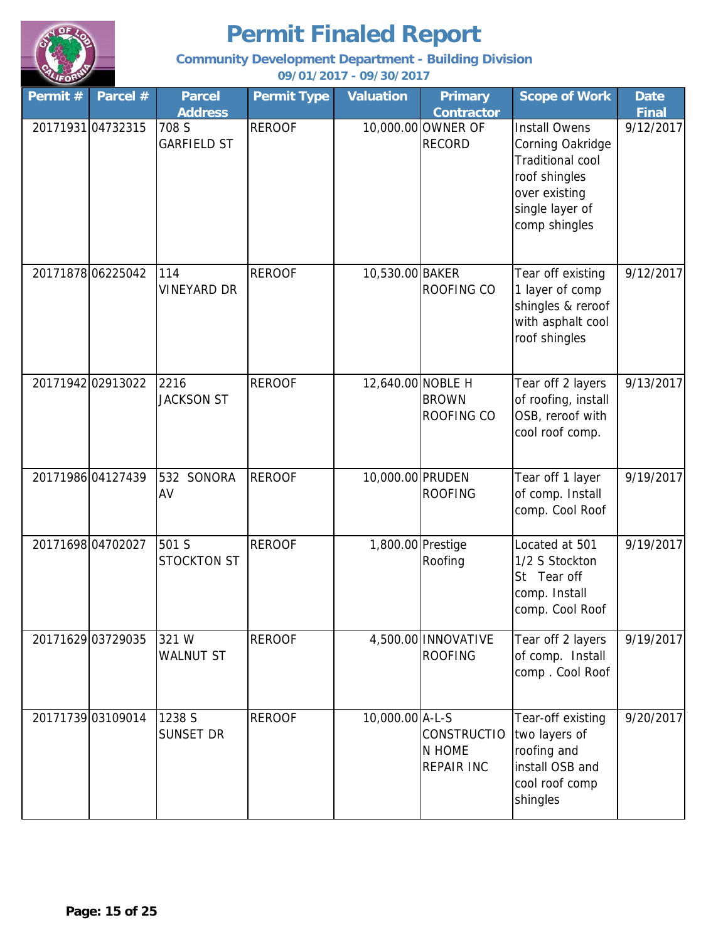

**Community Development Department - Building Division**

| Permit # | Parcel #          | <b>Parcel</b><br><b>Address</b> | <b>Permit Type</b> | <b>Valuation</b>  | <b>Primary</b><br><b>Contractor</b>               | <b>Scope of Work</b>                                                                                                                      | <b>Date</b><br><b>Final</b> |
|----------|-------------------|---------------------------------|--------------------|-------------------|---------------------------------------------------|-------------------------------------------------------------------------------------------------------------------------------------------|-----------------------------|
|          | 20171931 04732315 | 708 S<br><b>GARFIELD ST</b>     | <b>REROOF</b>      |                   | 10,000.00 OWNER OF<br><b>RECORD</b>               | <b>Install Owens</b><br>Corning Oakridge<br><b>Traditional cool</b><br>roof shingles<br>over existing<br>single layer of<br>comp shingles | 9/12/2017                   |
|          | 20171878 06225042 | 114<br><b>VINEYARD DR</b>       | <b>REROOF</b>      | 10,530.00 BAKER   | ROOFING CO                                        | Tear off existing<br>1 layer of comp<br>shingles & reroof<br>with asphalt cool<br>roof shingles                                           | 9/12/2017                   |
|          | 20171942 02913022 | 2216<br><b>JACKSON ST</b>       | <b>REROOF</b>      | 12,640.00 NOBLE H | <b>BROWN</b><br>ROOFING CO                        | Tear off 2 layers<br>of roofing, install<br>OSB, reroof with<br>cool roof comp.                                                           | 9/13/2017                   |
|          | 20171986 04127439 | 532 SONORA<br>AV                | <b>REROOF</b>      | 10,000.00 PRUDEN  | <b>ROOFING</b>                                    | Tear off 1 layer<br>of comp. Install<br>comp. Cool Roof                                                                                   | 9/19/2017                   |
|          | 20171698 04702027 | 501 S<br><b>STOCKTON ST</b>     | <b>REROOF</b>      | 1,800.00 Prestige | Roofing                                           | Located at 501<br>1/2 S Stockton<br>St Tear off<br>comp. Install<br>comp. Cool Roof                                                       | 9/19/2017                   |
|          | 20171629 03729035 | 321 W<br><b>WALNUT ST</b>       | <b>REROOF</b>      |                   | 4,500.00 INNOVATIVE<br><b>ROOFING</b>             | Tear off 2 layers<br>of comp. Install<br>comp. Cool Roof                                                                                  | 9/19/2017                   |
|          | 20171739 03109014 | 1238 S<br><b>SUNSET DR</b>      | <b>REROOF</b>      | 10,000.00 A-L-S   | <b>CONSTRUCTIO</b><br>N HOME<br><b>REPAIR INC</b> | Tear-off existing<br>two layers of<br>roofing and<br>install OSB and<br>cool roof comp<br>shingles                                        | 9/20/2017                   |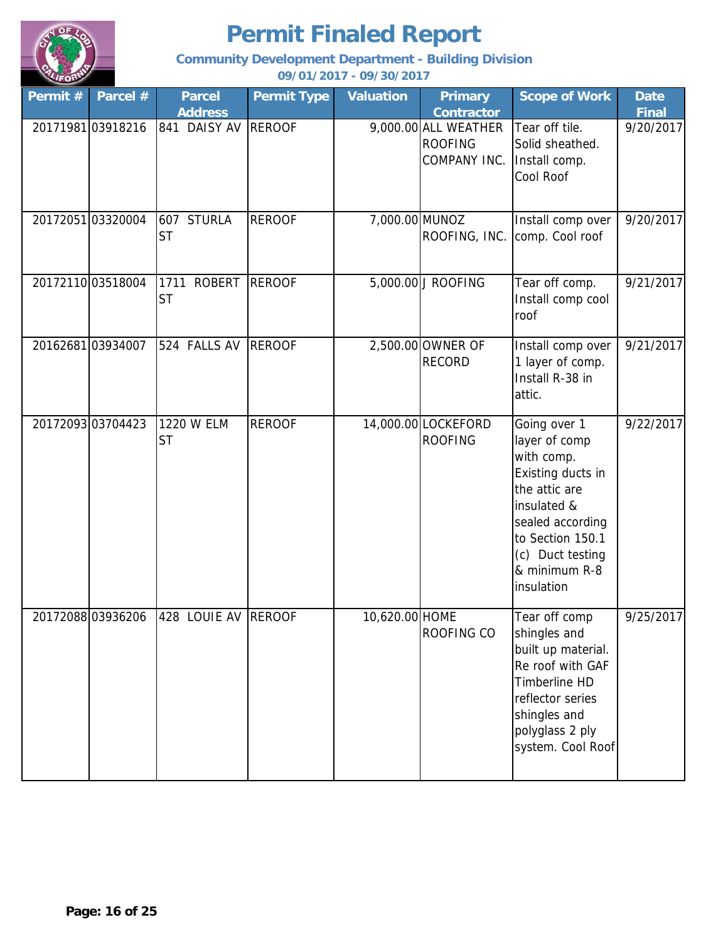

**Community Development Department - Building Division**

| Permit # | Parcel #         | <b>Parcel</b><br><b>Address</b> | <b>Permit Type</b> | <b>Valuation</b> | <b>Primary</b><br><b>Contractor</b>                    | <b>Scope of Work</b>                                                                                                                                                                        | <b>Date</b><br><b>Final</b> |
|----------|------------------|---------------------------------|--------------------|------------------|--------------------------------------------------------|---------------------------------------------------------------------------------------------------------------------------------------------------------------------------------------------|-----------------------------|
|          | 2017198103918216 | 841 DAISY AV                    | <b>REROOF</b>      |                  | 9,000.00 ALL WEATHER<br><b>ROOFING</b><br>COMPANY INC. | Tear off tile.<br>Solid sheathed.<br>Install comp.<br>Cool Roof                                                                                                                             | 9/20/2017                   |
|          | 2017205103320004 | 607 STURLA<br><b>ST</b>         | <b>REROOF</b>      | 7,000.00 MUNOZ   | ROOFING, INC.                                          | Install comp over<br>comp. Cool roof                                                                                                                                                        | 9/20/2017                   |
|          | 2017211003518004 | 1711 ROBERT<br><b>ST</b>        | <b>REROOF</b>      |                  | 5,000.00 J ROOFING                                     | Tear off comp.<br>Install comp cool<br>roof                                                                                                                                                 | 9/21/2017                   |
|          | 2016268103934007 | 524 FALLS AV                    | <b>REROOF</b>      |                  | 2,500.00 OWNER OF<br><b>RECORD</b>                     | Install comp over<br>1 layer of comp.<br>Install R-38 in<br>attic.                                                                                                                          | 9/21/2017                   |
|          | 2017209303704423 | 1220 W ELM<br><b>ST</b>         | <b>REROOF</b>      |                  | 14,000.00 LOCKEFORD<br><b>ROOFING</b>                  | Going over 1<br>layer of comp<br>with comp.<br>Existing ducts in<br>the attic are<br>insulated &<br>sealed according<br>to Section 150.1<br>(c) Duct testing<br>& minimum R-8<br>insulation | 9/22/2017                   |
|          | 2017208803936206 | 428 LOUIE AV REROOF             |                    | 10.620.00 HOME   | <b>ROOFING CO</b>                                      | Tear off comp<br>shingles and<br>built up material.<br>Re roof with GAF<br>Timberline HD<br>reflector series<br>shingles and<br>polyglass 2 ply<br>system. Cool Roof                        | 9/25/2017                   |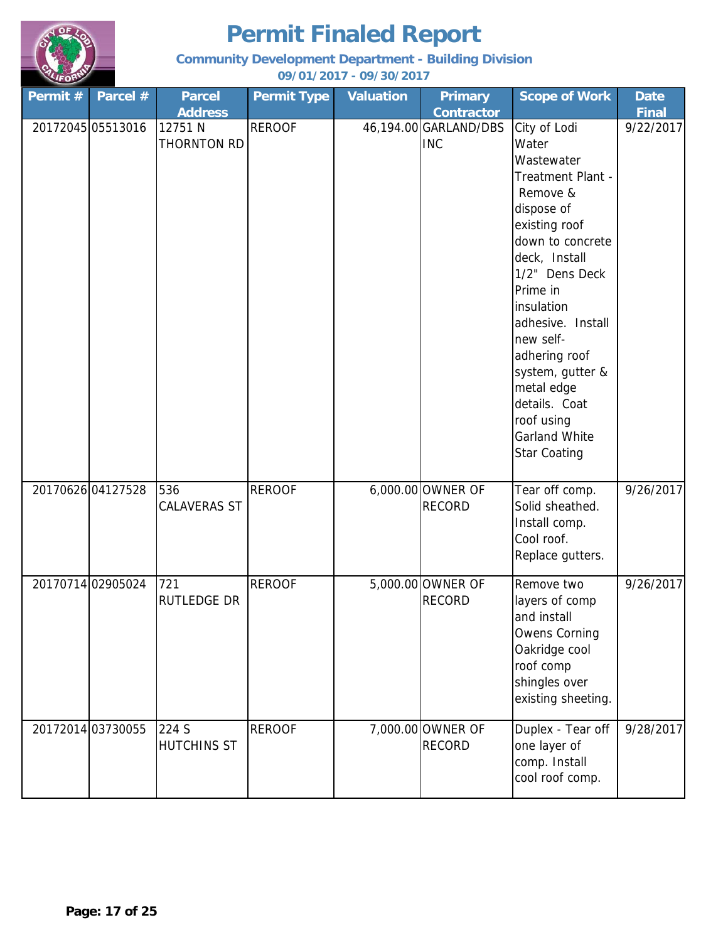

**Community Development Department - Building Division**

| Permit $#$        | Parcel #          | <b>Parcel</b>          | <b>Permit Type</b> | <b>Valuation</b> | <b>Primary</b>                      | <b>Scope of Work</b>                  | <b>Date</b>  |
|-------------------|-------------------|------------------------|--------------------|------------------|-------------------------------------|---------------------------------------|--------------|
|                   |                   | <b>Address</b>         |                    |                  | <b>Contractor</b>                   |                                       | <b>Final</b> |
|                   | 20172045 05513016 | 12751 N<br>THORNTON RD | <b>REROOF</b>      |                  | 46,194.00 GARLAND/DBS<br><b>INC</b> | City of Lodi<br>Water                 | 9/22/2017    |
|                   |                   |                        |                    |                  |                                     | Wastewater                            |              |
|                   |                   |                        |                    |                  |                                     | Treatment Plant -                     |              |
|                   |                   |                        |                    |                  |                                     | Remove &                              |              |
|                   |                   |                        |                    |                  |                                     | dispose of                            |              |
|                   |                   |                        |                    |                  |                                     | existing roof                         |              |
|                   |                   |                        |                    |                  |                                     | down to concrete                      |              |
|                   |                   |                        |                    |                  |                                     | deck, Install                         |              |
|                   |                   |                        |                    |                  |                                     | 1/2" Dens Deck                        |              |
|                   |                   |                        |                    |                  |                                     | Prime in                              |              |
|                   |                   |                        |                    |                  |                                     | insulation                            |              |
|                   |                   |                        |                    |                  |                                     | adhesive. Install                     |              |
|                   |                   |                        |                    |                  |                                     | new self-                             |              |
|                   |                   |                        |                    |                  |                                     | adhering roof                         |              |
|                   |                   |                        |                    |                  |                                     | system, gutter &<br>metal edge        |              |
|                   |                   |                        |                    |                  |                                     | details. Coat                         |              |
|                   |                   |                        |                    |                  |                                     | roof using                            |              |
|                   |                   |                        |                    |                  |                                     | <b>Garland White</b>                  |              |
|                   |                   |                        |                    |                  |                                     | <b>Star Coating</b>                   |              |
|                   |                   |                        |                    |                  |                                     |                                       |              |
| 20170626 04127528 |                   | 536                    | <b>REROOF</b>      |                  | 6,000.00 OWNER OF                   | Tear off comp.                        | 9/26/2017    |
|                   |                   | <b>CALAVERAS ST</b>    |                    |                  | <b>RECORD</b>                       | Solid sheathed.                       |              |
|                   |                   |                        |                    |                  |                                     | Install comp.                         |              |
|                   |                   |                        |                    |                  |                                     | Cool roof.<br>Replace gutters.        |              |
|                   |                   |                        |                    |                  |                                     |                                       |              |
| 20170714 02905024 |                   | 721                    | <b>REROOF</b>      |                  | 5,000.00 OWNER OF                   | Remove two                            | 9/26/2017    |
|                   |                   | RUTLEDGE DR            |                    |                  | <b>RECORD</b>                       | layers of comp                        |              |
|                   |                   |                        |                    |                  |                                     | and install                           |              |
|                   |                   |                        |                    |                  |                                     | <b>Owens Corning</b><br>Oakridge cool |              |
|                   |                   |                        |                    |                  |                                     | roof comp                             |              |
|                   |                   |                        |                    |                  |                                     | shingles over                         |              |
|                   |                   |                        |                    |                  |                                     | existing sheeting.                    |              |
|                   |                   |                        |                    |                  |                                     |                                       |              |
|                   | 20172014 03730055 | 224 S                  | <b>REROOF</b>      |                  | 7,000.00 OWNER OF                   | Duplex - Tear off                     | 9/28/2017    |
|                   |                   | HUTCHINS ST            |                    |                  | <b>RECORD</b>                       | one layer of<br>comp. Install         |              |
|                   |                   |                        |                    |                  |                                     | cool roof comp.                       |              |
|                   |                   |                        |                    |                  |                                     |                                       |              |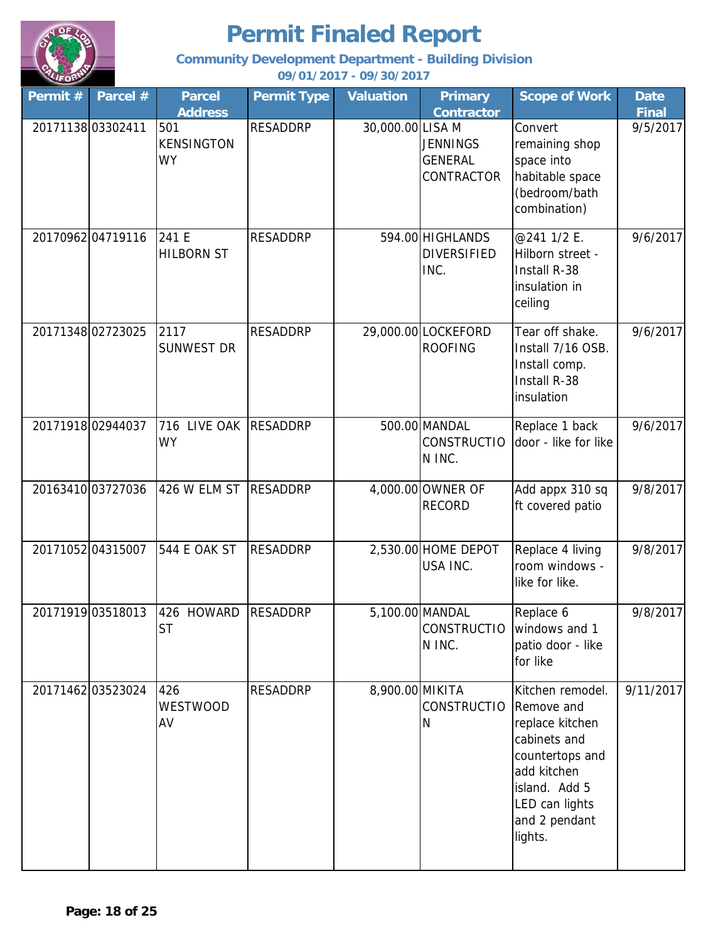

**Community Development Department - Building Division**

| Permit # | Parcel #          | <b>Parcel</b>                  | <b>Permit Type</b> | <b>Valuation</b> | <b>Primary</b>                                         | <b>Scope of Work</b>                                                                                                                                               | <b>Date</b>  |
|----------|-------------------|--------------------------------|--------------------|------------------|--------------------------------------------------------|--------------------------------------------------------------------------------------------------------------------------------------------------------------------|--------------|
|          |                   | <b>Address</b>                 |                    |                  | <b>Contractor</b>                                      |                                                                                                                                                                    | <b>Final</b> |
|          | 20171138 03302411 | 501<br>KENSINGTON<br><b>WY</b> | <b>RESADDRP</b>    | 30,000.00 LISA M | <b>JENNINGS</b><br><b>GENERAL</b><br>CONTRACTOR        | Convert<br>remaining shop<br>space into<br>habitable space<br>(bedroom/bath<br>combination)                                                                        | 9/5/2017     |
|          | 2017096204719116  | 241 E<br><b>HILBORN ST</b>     | <b>RESADDRP</b>    |                  | 594.00 HIGHLANDS<br><b>DIVERSIFIED</b><br>INC.         | @241 1/2 E.<br>Hilborn street -<br>Install R-38<br>insulation in<br>ceiling                                                                                        | 9/6/2017     |
|          | 2017134802723025  | 2117<br><b>SUNWEST DR</b>      | <b>RESADDRP</b>    |                  | 29,000.00 LOCKEFORD<br><b>ROOFING</b>                  | Tear off shake.<br>Install 7/16 OSB.<br>Install comp.<br>Install R-38<br>insulation                                                                                | 9/6/2017     |
|          | 20171918 02944037 | 716 LIVE OAK<br><b>WY</b>      | <b>RESADDRP</b>    |                  | 500.00 MANDAL<br><b>CONSTRUCTIO</b><br>N INC.          | Replace 1 back<br>door - like for like                                                                                                                             | 9/6/2017     |
|          | 20163410 03727036 | 426 W ELM ST                   | <b>RESADDRP</b>    |                  | 4,000.00 OWNER OF<br><b>RECORD</b>                     | Add appx 310 sq<br>ft covered patio                                                                                                                                | 9/8/2017     |
|          | 2017105204315007  | <b>544 E OAK ST</b>            | <b>RESADDRP</b>    |                  | 2,530.00 HOME DEPOT<br>USA INC.                        | Replace 4 living<br>room windows -<br>like for like.                                                                                                               | 9/8/2017     |
|          | 20171919 03518013 | 426 HOWARD<br><b>ST</b>        | <b>RESADDRP</b>    |                  | 5,100.00 MANDAL<br>CONSTRUCTIO windows and 1<br>N INC. | Replace 6<br>patio door - like<br>for like                                                                                                                         | 9/8/2017     |
|          | 2017146203523024  | 426<br><b>WESTWOOD</b><br>AV   | <b>RESADDRP</b>    | 8,900.00 MIKITA  | <b>CONSTRUCTIO</b><br>N                                | Kitchen remodel.<br>Remove and<br>replace kitchen<br>cabinets and<br>countertops and<br>add kitchen<br>island. Add 5<br>LED can lights<br>and 2 pendant<br>lights. | 9/11/2017    |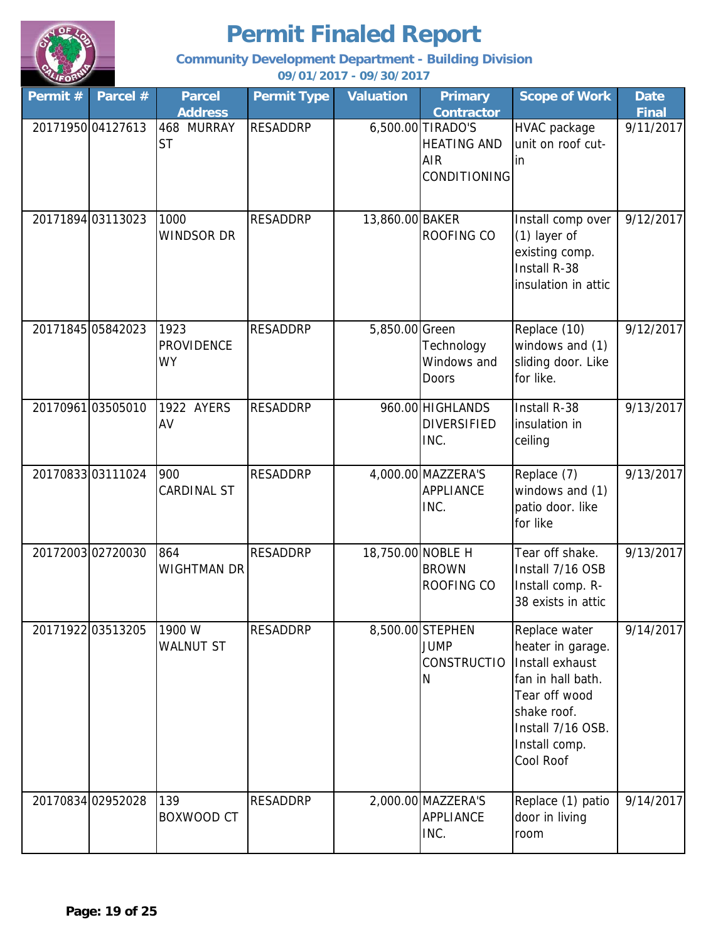

**Community Development Department - Building Division**

| Permit # | Parcel #          | <b>Parcel</b><br><b>Address</b>        | <b>Permit Type</b> | <b>Valuation</b>  | <b>Primary</b><br><b>Contractor</b>                                   | <b>Scope of Work</b>                                                                                                                                          | <b>Date</b><br><b>Final</b> |
|----------|-------------------|----------------------------------------|--------------------|-------------------|-----------------------------------------------------------------------|---------------------------------------------------------------------------------------------------------------------------------------------------------------|-----------------------------|
|          | 20171950 04127613 | 468 MURRAY<br><b>ST</b>                | <b>RESADDRP</b>    |                   | 6,500.00 TIRADO'S<br><b>HEATING AND</b><br><b>AIR</b><br>CONDITIONING | <b>HVAC</b> package<br>unit on roof cut-<br>lin                                                                                                               | 9/11/2017                   |
|          | 20171894 03113023 | 1000<br><b>WINDSOR DR</b>              | <b>RESADDRP</b>    | 13,860.00 BAKER   | ROOFING CO                                                            | Install comp over<br>(1) layer of<br>existing comp.<br>Install R-38<br>insulation in attic                                                                    | 9/12/2017                   |
|          | 20171845 05842023 | 1923<br><b>PROVIDENCE</b><br><b>WY</b> | <b>RESADDRP</b>    | 5,850.00 Green    | Technology<br>Windows and<br>Doors                                    | Replace (10)<br>windows and (1)<br>sliding door. Like<br>for like.                                                                                            | 9/12/2017                   |
|          | 2017096103505010  | 1922 AYERS<br>AV                       | <b>RESADDRP</b>    |                   | 960.00 HIGHLANDS<br><b>DIVERSIFIED</b><br>INC.                        | Install R-38<br>insulation in<br>ceiling                                                                                                                      | 9/13/2017                   |
|          | 2017083303111024  | 900<br>CARDINAL ST                     | <b>RESADDRP</b>    |                   | 4,000.00 MAZZERA'S<br><b>APPLIANCE</b><br>INC.                        | Replace (7)<br>windows and (1)<br>patio door. like<br>for like                                                                                                | 9/13/2017                   |
|          | 2017200302720030  | 864<br>WIGHTMAN DR                     | <b>RESADDRP</b>    | 18,750.00 NOBLE H | <b>BROWN</b><br><b>ROOFING CO</b>                                     | Tear off shake.<br>Install 7/16 OSB<br>Install comp. R-<br>38 exists in attic                                                                                 | 9/13/2017                   |
|          | 20171922 03513205 | 1900 W<br><b>WALNUT ST</b>             | <b>RESADDRP</b>    |                   | 8,500.00 STEPHEN<br><b>JUMP</b><br><b>CONSTRUCTIO</b><br>N            | Replace water<br>heater in garage.<br>Install exhaust<br>fan in hall bath.<br>Tear off wood<br>shake roof.<br>Install 7/16 OSB.<br>Install comp.<br>Cool Roof | 9/14/2017                   |
|          | 20170834 02952028 | 139<br>BOXWOOD CT                      | <b>RESADDRP</b>    |                   | 2,000.00 MAZZERA'S<br>APPLIANCE<br>INC.                               | Replace (1) patio<br>door in living<br>room                                                                                                                   | 9/14/2017                   |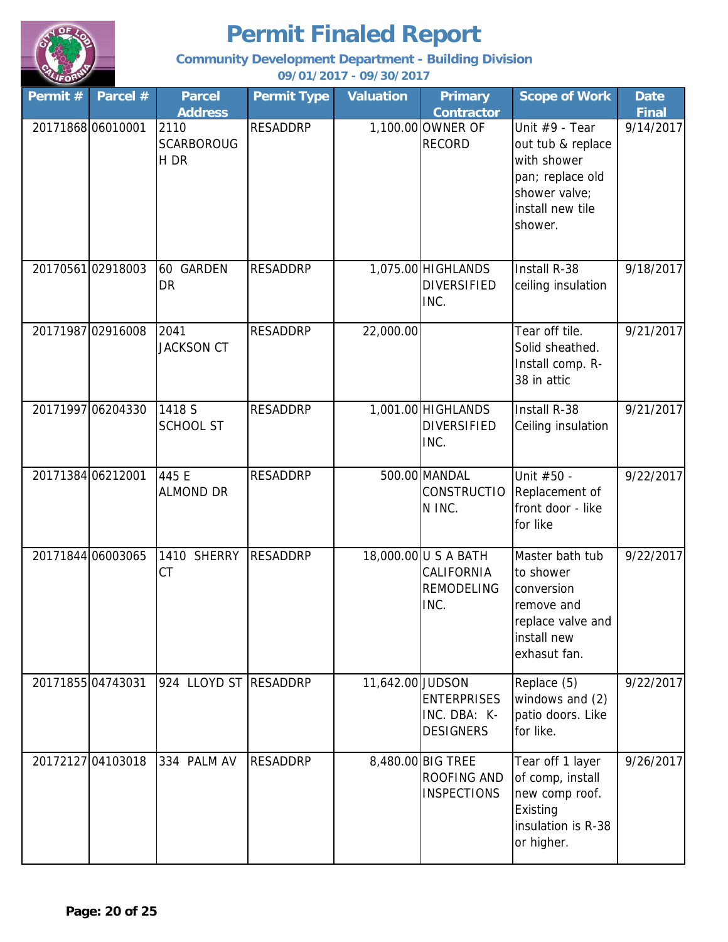

**Community Development Department - Building Division**

| Permit $#$ | Parcel #          | <b>Parcel</b><br><b>Address</b>   | <b>Permit Type</b> | <b>Valuation</b> | <b>Primary</b><br><b>Contractor</b>                             | <b>Scope of Work</b>                                                                                                   | <b>Date</b><br><b>Final</b> |
|------------|-------------------|-----------------------------------|--------------------|------------------|-----------------------------------------------------------------|------------------------------------------------------------------------------------------------------------------------|-----------------------------|
|            | 20171868 06010001 | 2110<br><b>SCARBOROUG</b><br>H DR | <b>RESADDRP</b>    |                  | 1,100.00 OWNER OF<br><b>RECORD</b>                              | Unit #9 - Tear<br>out tub & replace<br>with shower<br>pan; replace old<br>shower valve;<br>install new tile<br>shower. | 9/14/2017                   |
|            | 2017056102918003  | 60 GARDEN<br><b>DR</b>            | <b>RESADDRP</b>    |                  | 1,075.00 HIGHLANDS<br><b>DIVERSIFIED</b><br>INC.                | Install R-38<br>ceiling insulation                                                                                     | 9/18/2017                   |
|            | 20171987 02916008 | 2041<br><b>JACKSON CT</b>         | <b>RESADDRP</b>    | 22,000.00        |                                                                 | Tear off tile.<br>Solid sheathed.<br>Install comp. R-<br>38 in attic                                                   | 9/21/2017                   |
|            | 20171997 06204330 | 1418 S<br><b>SCHOOL ST</b>        | <b>RESADDRP</b>    |                  | 1,001.00 HIGHLANDS<br><b>DIVERSIFIED</b><br>INC.                | Install R-38<br>Ceiling insulation                                                                                     | 9/21/2017                   |
|            | 20171384 06212001 | 445 E<br><b>ALMOND DR</b>         | <b>RESADDRP</b>    |                  | 500.00 MANDAL<br><b>CONSTRUCTIO</b><br>N INC.                   | Unit #50 -<br>Replacement of<br>front door - like<br>for like                                                          | 9/22/2017                   |
|            | 20171844 06003065 | 1410 SHERRY<br>СT                 | <b>RESADDRP</b>    |                  | 18,000.00 U S A BATH<br>CALIFORNIA<br><b>REMODELING</b><br>INC. | Master bath tub<br>to shower<br>conversion<br>remove and<br>replace valve and<br>install new<br>exhasut fan.           | 9/22/2017                   |
|            | 20171855 04743031 | 924 LLOYD ST RESADDRP             |                    | 11,642.00 JUDSON | <b>ENTERPRISES</b><br>INC. DBA: K-<br><b>DESIGNERS</b>          | Replace (5)<br>windows and (2)<br>patio doors. Like<br>for like.                                                       | 9/22/2017                   |
|            | 20172127 04103018 | 334 PALM AV                       | <b>RESADDRP</b>    |                  | 8,480.00 BIG TREE<br>ROOFING AND<br><b>INSPECTIONS</b>          | Tear off 1 layer<br>of comp, install<br>new comp roof.<br>Existing<br>insulation is R-38<br>or higher.                 | 9/26/2017                   |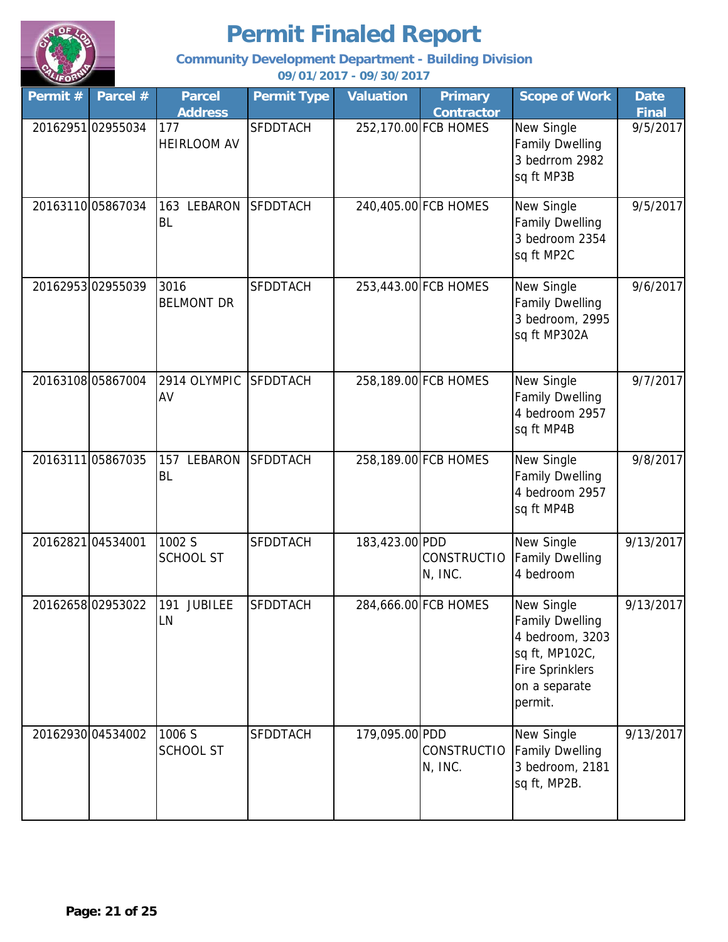

**Community Development Department - Building Division**

| Permit # | Parcel #          | <b>Parcel</b><br><b>Address</b> | <b>Permit Type</b> | <b>Valuation</b> | <b>Primary</b><br><b>Contractor</b> | <b>Scope of Work</b>                                                                                                            | <b>Date</b><br><b>Final</b> |
|----------|-------------------|---------------------------------|--------------------|------------------|-------------------------------------|---------------------------------------------------------------------------------------------------------------------------------|-----------------------------|
|          | 20162951 02955034 | 177<br><b>HEIRLOOM AV</b>       | <b>SFDDTACH</b>    |                  | 252,170.00 FCB HOMES                | New Single<br><b>Family Dwelling</b><br>3 bedrrom 2982<br>sq ft MP3B                                                            | 9/5/2017                    |
|          | 2016311005867034  | 163 LEBARON<br><b>BL</b>        | <b>SFDDTACH</b>    |                  | 240,405.00 FCB HOMES                | New Single<br><b>Family Dwelling</b><br>3 bedroom 2354<br>sq ft MP2C                                                            | 9/5/2017                    |
|          | 2016295302955039  | 3016<br><b>BELMONT DR</b>       | <b>SFDDTACH</b>    |                  | 253,443.00 FCB HOMES                | New Single<br><b>Family Dwelling</b><br>3 bedroom, 2995<br>sq ft MP302A                                                         | 9/6/2017                    |
|          | 20163108 05867004 | 2914 OLYMPIC<br>AV              | <b>SFDDTACH</b>    |                  | 258,189.00 FCB HOMES                | New Single<br><b>Family Dwelling</b><br>4 bedroom 2957<br>sq ft MP4B                                                            | 9/7/2017                    |
|          | 20163111 05867035 | LEBARON<br>157<br><b>BL</b>     | <b>SFDDTACH</b>    |                  | 258,189.00 FCB HOMES                | New Single<br><b>Family Dwelling</b><br>4 bedroom 2957<br>sq ft MP4B                                                            | 9/8/2017                    |
|          | 2016282104534001  | 1002 S<br><b>SCHOOL ST</b>      | <b>SFDDTACH</b>    | 183,423.00 PDD   | <b>CONSTRUCTIO</b><br>N, INC.       | New Single<br><b>Family Dwelling</b><br>4 bedroom                                                                               | 9/13/2017                   |
|          | 2016265802953022  | 191 JUBILEE<br>LN               | <b>SFDDTACH</b>    |                  | 284,666.00 FCB HOMES                | New Single<br><b>Family Dwelling</b><br>4 bedroom, 3203<br>sq ft, MP102C,<br><b>Fire Sprinklers</b><br>on a separate<br>permit. | 9/13/2017                   |
|          | 20162930 04534002 | 1006 S<br>SCHOOL ST             | <b>SFDDTACH</b>    | 179,095.00 PDD   | <b>CONSTRUCTIO</b><br>N, INC.       | New Single<br><b>Family Dwelling</b><br>3 bedroom, 2181<br>sq ft, MP2B.                                                         | 9/13/2017                   |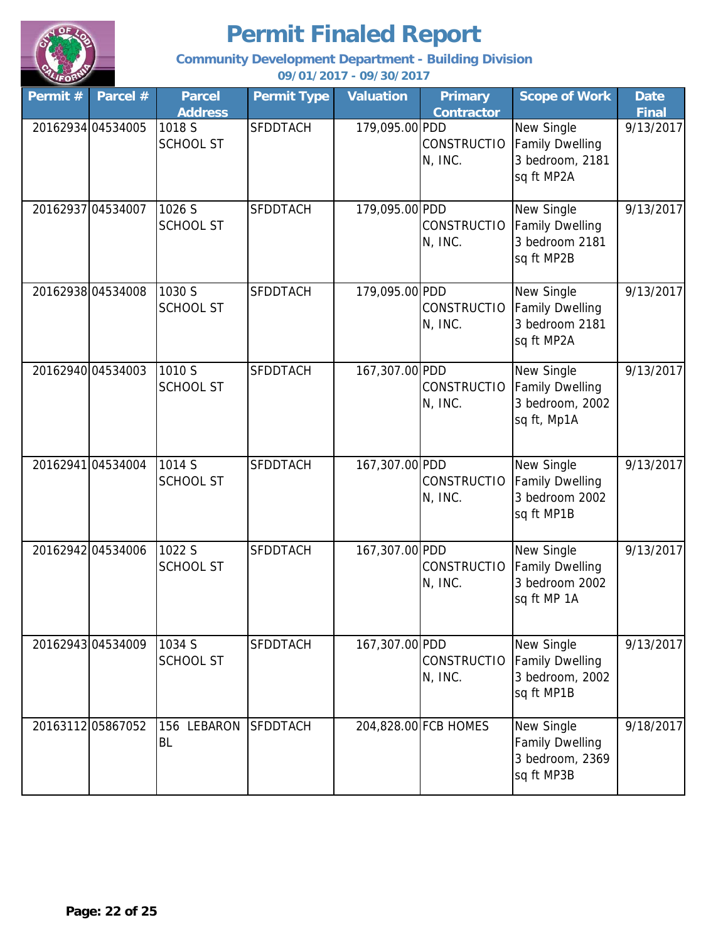

**Community Development Department - Building Division**

| Permit # | Parcel #          | <b>Parcel</b><br><b>Address</b> | <b>Permit Type</b> | <b>Valuation</b> | <b>Primary</b><br><b>Contractor</b> | <b>Scope of Work</b>                                                   | <b>Date</b><br><b>Final</b> |
|----------|-------------------|---------------------------------|--------------------|------------------|-------------------------------------|------------------------------------------------------------------------|-----------------------------|
|          | 20162934 04534005 | 1018 S<br><b>SCHOOL ST</b>      | <b>SFDDTACH</b>    | 179,095.00 PDD   | <b>CONSTRUCTIO</b><br>N, INC.       | New Single<br><b>Family Dwelling</b><br>3 bedroom, 2181<br>sq ft MP2A  | 9/13/2017                   |
|          | 20162937 04534007 | 1026 S<br><b>SCHOOL ST</b>      | <b>SFDDTACH</b>    | 179,095.00 PDD   | <b>CONSTRUCTIO</b><br>N, INC.       | New Single<br><b>Family Dwelling</b><br>3 bedroom 2181<br>sq ft MP2B   | 9/13/2017                   |
|          | 20162938 04534008 | 1030 S<br><b>SCHOOL ST</b>      | <b>SFDDTACH</b>    | 179,095.00 PDD   | <b>CONSTRUCTIO</b><br>N, INC.       | New Single<br><b>Family Dwelling</b><br>3 bedroom 2181<br>sq ft MP2A   | 9/13/2017                   |
|          | 20162940 04534003 | 1010 S<br><b>SCHOOL ST</b>      | <b>SFDDTACH</b>    | 167,307.00 PDD   | <b>CONSTRUCTIO</b><br>N, INC.       | New Single<br><b>Family Dwelling</b><br>3 bedroom, 2002<br>sq ft, Mp1A | 9/13/2017                   |
|          | 20162941 04534004 | 1014 S<br><b>SCHOOL ST</b>      | <b>SFDDTACH</b>    | 167,307.00 PDD   | <b>CONSTRUCTIO</b><br>N, INC.       | New Single<br><b>Family Dwelling</b><br>3 bedroom 2002<br>sq ft MP1B   | 9/13/2017                   |
|          | 20162942 04534006 | 1022 S<br><b>SCHOOL ST</b>      | <b>SFDDTACH</b>    | 167,307.00 PDD   | <b>CONSTRUCTIO</b><br>N, INC.       | New Single<br><b>Family Dwelling</b><br>3 bedroom 2002<br>sq ft MP 1A  | 9/13/2017                   |
|          | 20162943 04534009 | 1034 S<br><b>SCHOOL ST</b>      | <b>SFDDTACH</b>    | 167,307.00 PDD   | <b>CONSTRUCTIO</b><br>$N$ , INC.    | New Single<br><b>Family Dwelling</b><br>3 bedroom, 2002<br>sq ft MP1B  | 9/13/2017                   |
|          | 2016311205867052  | 156 LEBARON<br>BL               | <b>SFDDTACH</b>    |                  | 204,828.00 FCB HOMES                | New Single<br><b>Family Dwelling</b><br>3 bedroom, 2369<br>sq ft MP3B  | 9/18/2017                   |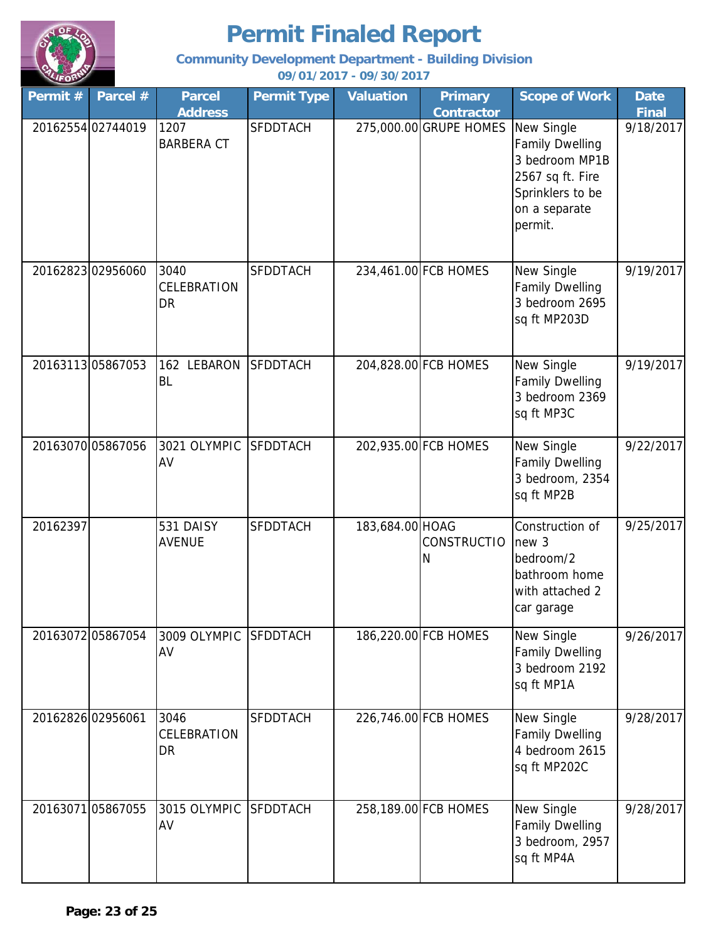

**Community Development Department - Building Division**

| Permit $#$ | Parcel #          | <b>Parcel</b>              | <b>Permit Type</b> | <b>Valuation</b> | <b>Primary</b>          | <b>Scope of Work</b>                                                                                                       | <b>Date</b>  |
|------------|-------------------|----------------------------|--------------------|------------------|-------------------------|----------------------------------------------------------------------------------------------------------------------------|--------------|
|            |                   | <b>Address</b>             |                    |                  | <b>Contractor</b>       |                                                                                                                            | <b>Final</b> |
|            | 20162554 02744019 | 1207<br><b>BARBERA CT</b>  | <b>SFDDTACH</b>    |                  | 275,000.00 GRUPE HOMES  | New Single<br><b>Family Dwelling</b><br>3 bedroom MP1B<br>2567 sq ft. Fire<br>Sprinklers to be<br>on a separate<br>permit. | 9/18/2017    |
|            | 20162823 02956060 | 3040<br>CELEBRATION<br>DR  | <b>SFDDTACH</b>    |                  | 234,461.00 FCB HOMES    | New Single<br><b>Family Dwelling</b><br>3 bedroom 2695<br>sq ft MP203D                                                     | 9/19/2017    |
|            | 20163113 05867053 | 162 LEBARON<br><b>BL</b>   | <b>SFDDTACH</b>    |                  | 204,828.00 FCB HOMES    | New Single<br><b>Family Dwelling</b><br>3 bedroom 2369<br>sq ft MP3C                                                       | 9/19/2017    |
|            | 20163070 05867056 | 3021 OLYMPIC<br>AV         | <b>SFDDTACH</b>    |                  | 202,935.00 FCB HOMES    | New Single<br><b>Family Dwelling</b><br>3 bedroom, 2354<br>sq ft MP2B                                                      | 9/22/2017    |
| 20162397   |                   | 531 DAISY<br><b>AVENUE</b> | <b>SFDDTACH</b>    | 183,684.00 HOAG  | <b>CONSTRUCTIO</b><br>Ν | Construction of<br>new 3<br>bedroom/2<br>bathroom home<br>with attached 2<br>car garage                                    | 9/25/2017    |
|            | 2016307205867054  | 3009 OLYMPIC<br>AV         | <b>SFDDTACH</b>    |                  | 186,220.00 FCB HOMES    | New Single<br><b>Family Dwelling</b><br>3 bedroom 2192<br>sq ft MP1A                                                       | 9/26/2017    |
|            | 20162826 02956061 | 3046<br>CELEBRATION<br>DR  | <b>SFDDTACH</b>    |                  | 226,746.00 FCB HOMES    | New Single<br><b>Family Dwelling</b><br>4 bedroom 2615<br>sq ft MP202C                                                     | 9/28/2017    |
|            | 20163071 05867055 | 3015 OLYMPIC<br>AV         | <b>SFDDTACH</b>    |                  | 258,189.00 FCB HOMES    | New Single<br><b>Family Dwelling</b><br>3 bedroom, 2957<br>sq ft MP4A                                                      | 9/28/2017    |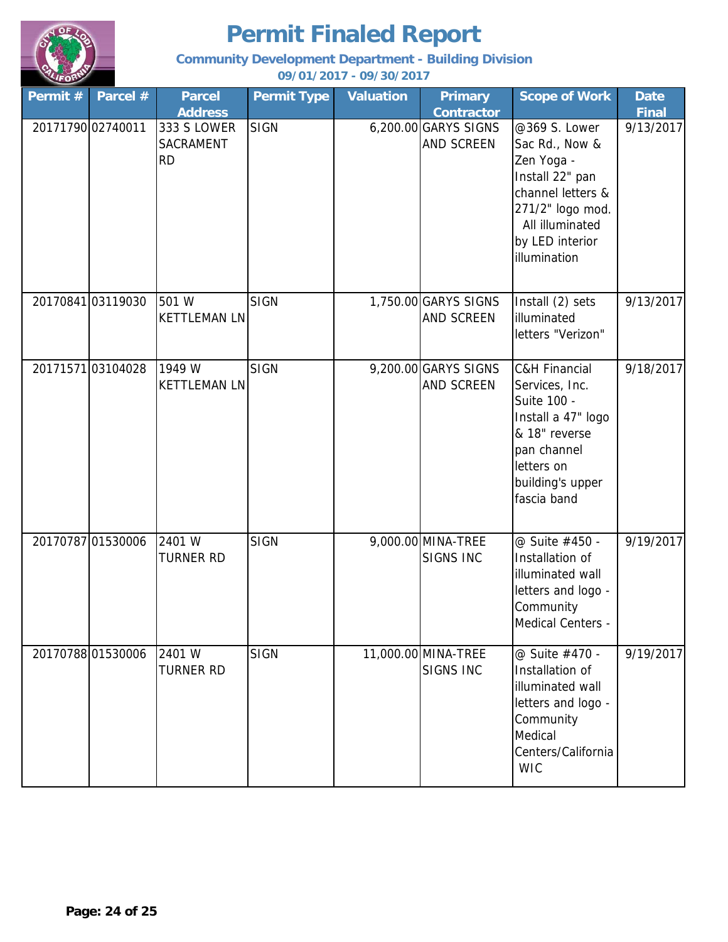

**Community Development Department - Building Division**

| Permit $#$ | Parcel #          | <b>Parcel</b><br><b>Address</b>       | <b>Permit Type</b> | <b>Valuation</b> | <b>Primary</b><br><b>Contractor</b>    | <b>Scope of Work</b>                                                                                                                                             | <b>Date</b><br><b>Final</b> |
|------------|-------------------|---------------------------------------|--------------------|------------------|----------------------------------------|------------------------------------------------------------------------------------------------------------------------------------------------------------------|-----------------------------|
|            | 20171790 02740011 | 333 S LOWER<br>SACRAMENT<br><b>RD</b> | <b>SIGN</b>        |                  | 6,200.00 GARYS SIGNS<br>AND SCREEN     | @369 S. Lower<br>Sac Rd., Now &<br>Zen Yoga -<br>Install 22" pan<br>channel letters &<br>271/2" logo mod.<br>All illuminated<br>by LED interior<br>illumination  | 9/13/2017                   |
|            | 20170841 03119030 | 501 W<br><b>KETTLEMAN LN</b>          | <b>SIGN</b>        |                  | 1,750.00 GARYS SIGNS<br>AND SCREEN     | Install (2) sets<br>illuminated<br>letters "Verizon"                                                                                                             | 9/13/2017                   |
|            | 2017157103104028  | 1949 W<br><b>KETTLEMAN LN</b>         | <b>SIGN</b>        |                  | 9,200.00 GARYS SIGNS<br>AND SCREEN     | <b>C&amp;H Financial</b><br>Services, Inc.<br>Suite 100 -<br>Install a 47" logo<br>& 18" reverse<br>pan channel<br>letters on<br>building's upper<br>fascia band | 9/18/2017                   |
|            | 20170787 01530006 | 2401 W<br><b>TURNER RD</b>            | <b>SIGN</b>        |                  | 9,000.00 MINA-TREE<br><b>SIGNS INC</b> | @ Suite #450 -<br>Installation of<br>illuminated wall<br>letters and logo -<br>Community<br>Medical Centers -                                                    | 9/19/2017                   |
|            | 2017078801530006  | 2401 W<br>TURNER RD                   | <b>SIGN</b>        |                  | 11,000.00 MINA-TREE<br>SIGNS INC       | @ Suite #470 -<br>Installation of<br>illuminated wall<br>letters and logo -<br>Community<br>Medical<br>Centers/California<br><b>WIC</b>                          | 9/19/2017                   |